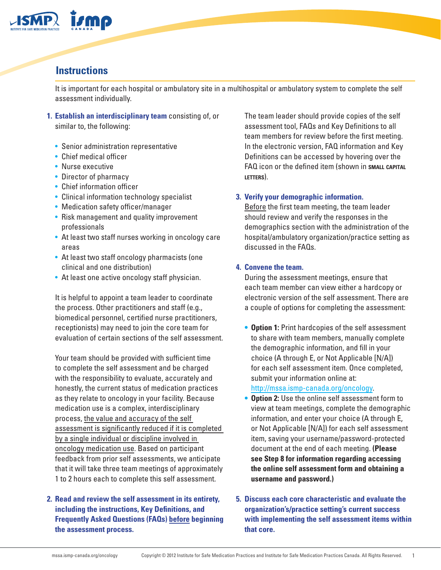

### **Instructions**

It is important for each hospital or ambulatory site in a multihospital or ambulatory system to complete the self assessment individually.

- **Establish an interdisciplinary team** consisting of, or **1.** similar to, the following:
	- Senior administration representative
	- Chief medical officer
	- Nurse executive
	- Director of pharmacy
	- Chief information officer
	- Clinical information technology specialist
	- Medication safety officer/manager
	- Risk management and quality improvement professionals
	- At least two staff nurses working in oncology care areas
	- At least two staff oncology pharmacists (one clinical and one distribution)
	- At least one active oncology staff physician.

It is helpful to appoint a team leader to coordinate the process. Other practitioners and staff (e.g., biomedical personnel, certified nurse practitioners, receptionists) may need to join the core team for evaluation of certain sections of the self assessment.

Your team should be provided with sufficient time to complete the self assessment and be charged with the responsibility to evaluate, accurately and honestly, the current status of medication practices as they relate to oncology in your facility. Because medication use is a complex, interdisciplinary process, the value and accuracy of the self assessment is significantly reduced if it is completed by a single individual or discipline involved in oncology medication use. Based on participant feedback from prior self assessments, we anticipate that it will take three team meetings of approximately 1 to 2 hours each to complete this self assessment.

#### **Read and review the self assessment in its entirety, 2. including the instructions, Key Definitions, and Frequently Asked Questions (FAQs) before beginning the assessment process.**

The team leader should provide copies of the self assessment tool, FAQs and Key Definitions to all team members for review before the first meeting. In the electronic version, FAQ information and Key Definitions can be accessed by hovering over the FAQ icon or the defined item (shown in **small capital letters**).

#### **Verify your demographic information. 3.**

Before the first team meeting, the team leader should review and verify the responses in the demographics section with the administration of the hospital/ambulatory organization/practice setting as discussed in the FAQs.

#### **Convene the team. 4.**

During the assessment meetings, ensure that each team member can view either a hardcopy or electronic version of the self assessment. There are a couple of options for completing the assessment:

- **• Option 1:** Print hardcopies of the self assessment to share with team members, manually complete the demographic information, and fill in your choice (A through E, or Not Applicable [N/A]) for each self assessment item. Once completed, submit your information online at: <http://mssa.ismp-canada.org/oncology>.
- **• Option 2:** Use the online self assessment form to view at team meetings, complete the demographic information, and enter your choice (A through E, or Not Applicable [N/A]) for each self assessment item, saving your username/password-protected document at the end of each meeting. **(Please see Step 8 for information regarding accessing the online self assessment form and obtaining a username and password.)**
- **Discuss each core characteristic and evaluate the 5.organization's/practice setting's current success with implementing the self assessment items within that core.**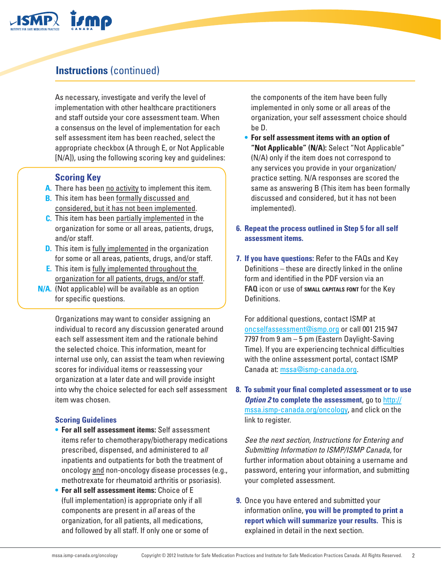

## **Instructions** (continued)

As necessary, investigate and verify the level of implementation with other healthcare practitioners and staff outside your core assessment team. When a consensus on the level of implementation for each self assessment item has been reached, select the appropriate checkbox (A through E, or Not Applicable [N/A]), using the following scoring key and guidelines:

### **Scoring Key**

- A. There has been no activity to implement this item.
- **B.** This item has been formally discussed and considered, but it has not been implemented.
- This item has been partially implemented in the **C.** organization for some or all areas, patients, drugs,
- and/or staff.
- **D.** This item is fully implemented in the organization for some or all areas, patients, drugs, and/or staff.
- **E.** This item is fully implemented throughout the organization for all patients, drugs, and/or staff.
- **N/A.** (Not applicable) will be available as an option for specific questions.

Organizations may want to consider assigning an individual to record any discussion generated around each self assessment item and the rationale behind the selected choice. This information, meant for internal use only, can assist the team when reviewing scores for individual items or reassessing your organization at a later date and will provide insight into why the choice selected for each self assessment item was chosen.

#### **Scoring Guidelines**

- **• For all self assessment items:** Self assessment items refer to chemotherapy/biotherapy medications prescribed, dispensed, and administered to *all* inpatients and outpatients for both the treatment of oncology and non-oncology disease processes (e.g., methotrexate for rheumatoid arthritis or psoriasis).
- **• For all self assessment items:** Choice of E (full implementation) is appropriate only if all components are present in *all* areas of the organization, for all patients, all medications, and followed by all staff. If only one or some of

the components of the item have been fully implemented in only some or all areas of the organization, your self assessment choice should be D.

- **• For self assessment items with an option of "Not Applicable" (N/A):** Select "Not Applicable" (N/A) only if the item does not correspond to any services you provide in your organization/ practice setting. N/A responses are scored the same as answering B (This item has been formally discussed and considered, but it has not been implemented).
- **Repeat the process outlined in Step 5 for all self 6. assessment items.**
- **If you have questions:** Refer to the FAQs and Key **7.** Definitions – these are directly linked in the online form and identified in the PDF version via an **FAQ** icon or use of **small capitals font** for the Key Definitions.

For additional questions, contact ISMP at [oncselfassessment@ismp.org](mailto:oncselfassessment%40ismp.org?subject=Online%20self%20assessment) or call 001 215 947 7797 from 9 am – 5 pm (Eastern Daylight-Saving Time). If you are experiencing technical difficulties with the online assessment portal, contact ISMP Canada at: [mssa@ismp-canada.org.](mailto:mssa%40ismp-canada.org?subject=online%20assessment%20portal)

**To submit your final completed assessment or to use 8.** *Option 2* **to complete the assessment**, go to [http://](http://mssa.ismp-canada.org/oncology) [mssa.ismp-canada.org/oncology,](http://mssa.ismp-canada.org/oncology) and click on the link to register.

*See the next section, Instructions for Entering and Submitting Information to ISMP/ISMP Canada,* for further information about obtaining a username and password, entering your information, and submitting your completed assessment.

**9.** Once you have entered and submitted your information online, **you will be prompted to print a report which will summarize your results.** This is explained in detail in the next section.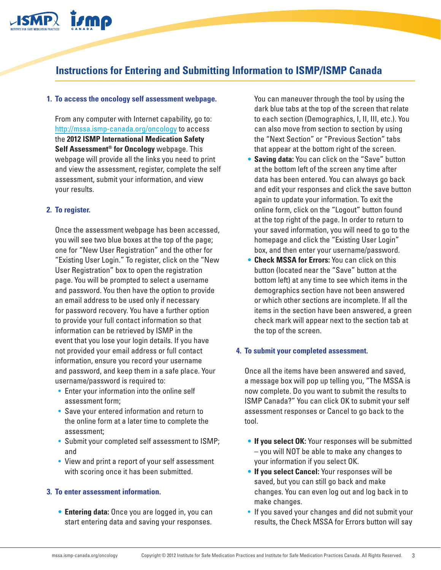

### **Instructions for Entering and Submitting Information to ISMP/ISMP Canada**

#### **To access the oncology self assessment webpage. 1.**

From any computer with Internet capability, go to: <http://mssa.ismp-canada.org/oncology>to access the **2012 ISMP International Medication Safety Self Assessment® for Oncology** webpage. This webpage will provide all the links you need to print and view the assessment, register, complete the self assessment, submit your information, and view your results.

#### **To register. 2.**

Once the assessment webpage has been accessed, you will see two blue boxes at the top of the page; one for "New User Registration" and the other for "Existing User Login." To register, click on the "New User Registration" box to open the registration page. You will be prompted to select a username and password. You then have the option to provide an email address to be used only if necessary for password recovery. You have a further option to provide your full contact information so that information can be retrieved by ISMP in the event that you lose your login details. If you have not provided your email address or full contact information, ensure you record your username and password, and keep them in a safe place. Your username/password is required to:

- Enter your information into the online self assessment form;
- Save your entered information and return to the online form at a later time to complete the assessment;
- Submit your completed self assessment to ISMP; and
- View and print a report of your self assessment with scoring once it has been submitted.

#### **To enter assessment information. 3.**

**• Entering data:** Once you are logged in, you can start entering data and saving your responses.

You can maneuver through the tool by using the dark blue tabs at the top of the screen that relate to each section (Demographics, I, II, III, etc.). You can also move from section to section by using the "Next Section" or "Previous Section" tabs that appear at the bottom right of the screen.

- **• Saving data:** You can click on the "Save" button at the bottom left of the screen any time after data has been entered. You can always go back and edit your responses and click the save button again to update your information. To exit the online form, click on the "Logout" button found at the top right of the page. In order to return to your saved information, you will need to go to the homepage and click the "Existing User Login" box, and then enter your username/password.
- **• Check MSSA for Errors:** You can click on this button (located near the "Save" button at the bottom left) at any time to see which items in the demographics section have not been answered or which other sections are incomplete. If all the items in the section have been answered, a green check mark will appear next to the section tab at the top of the screen.

#### **To submit your completed assessment. 4.**

Once all the items have been answered and saved, a message box will pop up telling you, "The MSSA is now complete. Do you want to submit the results to ISMP Canada?" You can click OK to submit your self assessment responses or Cancel to go back to the tool.

- **• If you select OK:** Your responses will be submitted – you will NOT be able to make any changes to your information if you select OK.
- **• If you select Cancel:** Your responses will be saved, but you can still go back and make changes. You can even log out and log back in to make changes.
- If you saved your changes and did not submit your results, the Check MSSA for Errors button will say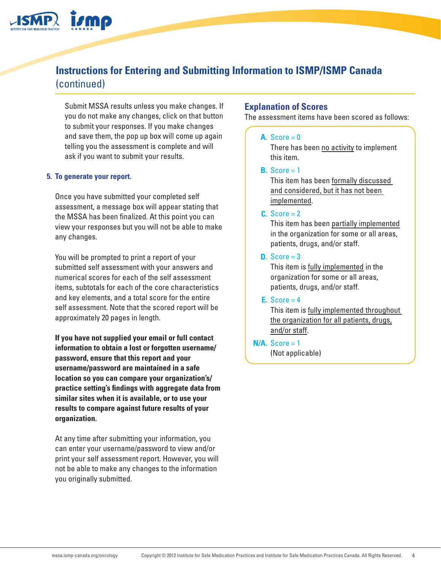## **Instructions for Entering and Submitting Information to ISMP/ISMP Canada** (continued)

Submit MSSA results unless you make changes. If you do not make any changes, click on that button to submit your responses. If you make changes and save them, the pop up box will come up again telling you the assessment is complete and will ask if you want to submit your results.

#### **To generate your report. 5.**

Once you have submitted your completed self assessment, a message box will appear stating that the MSSA has been finalized. At this point you can view your responses but you will not be able to make any changes.

You will be prompted to print a report of your submitted self assessment with your answers and numerical scores for each of the self assessment items, subtotals for each of the core characteristics and key elements, and a total score for the entire self assessment. Note that the scored report will be approximately 20 pages in length.

**If you have not supplied your email or full contact information to obtain a lost or forgotten username/ password, ensure that this report and your username/password are maintained in a safe location so you can compare your organization's/ practice setting's findings with aggregate data from similar sites when it is available, or to use your results to compare against future results of your organization.**

At any time after submitting your information, you can enter your username/password to view and/or print your self assessment report. However, you will not be able to make any changes to the information you originally submitted.

#### **Explanation of Scores**

The assessment items have been scored as follows:

#### A.  $Score = 0$

There has been no activity to implement this item.

**B.** Score  $= 1$ 

This item has been formally discussed and considered, but it has not been implemented.

#### $C. Score = 2$

This item has been partially implemented in the organization for some or all areas, patients, drugs, and/or staff.

#### **D.** Score = 3

This item is fully implemented in the organization for some or all areas, patients, drugs, and/or staff.

#### $E. Score = 4$

This item is fully implemented throughout the organization for all patients, drugs, and/or staff.

 $N/A.$  Score = 1 (Not applicable)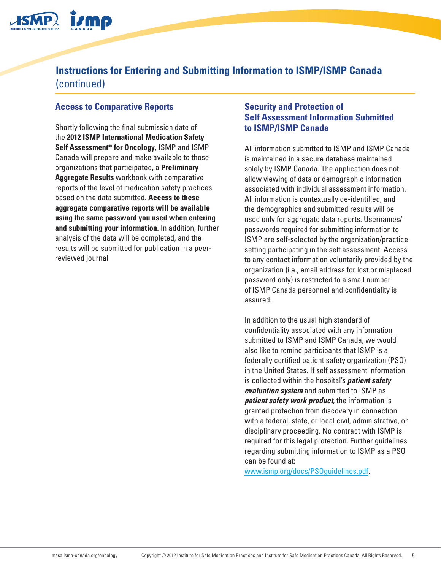

## **Instructions for Entering and Submitting Information to ISMP/ISMP Canada** (continued)

### **Access to Comparative Reports**

Shortly following the final submission date of the **2012 ISMP International Medication Safety Self Assessment® for Oncology**, ISMP and ISMP Canada will prepare and make available to those organizations that participated, a **Preliminary Aggregate Results** workbook with comparative reports of the level of medication safety practices based on the data submitted. **Access to these aggregate comparative reports will be available using the same password you used when entering and submitting your information.** In addition, further analysis of the data will be completed, and the results will be submitted for publication in a peerreviewed journal.

#### **Security and Protection of Self Assessment Information Submitted to ISMP/ISMP Canada**

All information submitted to ISMP and ISMP Canada is maintained in a secure database maintained solely by ISMP Canada. The application does not allow viewing of data or demographic information associated with individual assessment information. All information is contextually de-identified, and the demographics and submitted results will be used only for aggregate data reports. Usernames/ passwords required for submitting information to ISMP are self-selected by the organization/practice setting participating in the self assessment. Access to any contact information voluntarily provided by the organization (i.e., email address for lost or misplaced password only) is restricted to a small number of ISMP Canada personnel and confidentiality is assured.

In addition to the usual high standard of confidentiality associated with any information submitted to ISMP and ISMP Canada, we would also like to remind participants that ISMP is a federally certified patient safety organization (PSO) in the United States. If self assessment information is collected within the hospital's *patient safety evaluation system* and submitted to ISMP as *patient safety work product*, the information is granted protection from discovery in connection with a federal, state, or local civil, administrative, or disciplinary proceeding. No contract with ISMP is required for this legal protection. Further guidelines regarding submitting information to ISMP as a PSO can be found at:

[www.ismp.org/docs/PSOguidelines.pdf.](http://www.ismp.org/docs/PSOguidelines.pdf)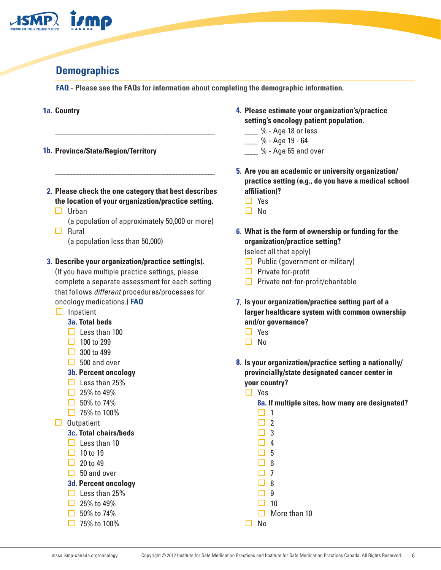

## **Demographics**

**FAQ - Please see the FAQs for information about completing the demographic information.**

#### 1a. Country

- **Province/State/Region/Territory 1b.**
- **Please check the one category that best describes 2. the location of your organization/practice setting.**

\_\_\_\_\_\_\_\_\_\_\_\_\_\_\_\_\_\_\_\_\_\_\_\_\_\_\_\_\_\_\_\_\_\_\_\_\_\_\_\_\_\_\_\_\_\_\_\_\_\_

\_\_\_\_\_\_\_\_\_\_\_\_\_\_\_\_\_\_\_\_\_\_\_\_\_\_\_\_\_\_\_\_\_\_\_\_\_\_\_\_\_\_\_\_\_\_\_\_\_\_

- $\Box$  Urban
- (a population of approximately 50,000 or more)  $\Box$  Rural
	- (a population less than 50,000)

#### **Describe your organization/practice setting(s). 3.**

(If you have multiple practice settings, please complete a separate assessment for each setting that follows *different* procedures/processes for oncology medications.) **FAQ**

 $\Box$  Inpatient

#### **3a. Total beds**

- $\Box$  Less than 100
- $\Box$  100 to 299
- $\Box$  300 to 499
- $\Box$  500 and over
- **3b. Percent oncology**
- $\Box$  Less than 25%
- $\Box$  25% to 49%
- $\Box$  50% to 74%
- $\Box$  75% to 100%
- $\Box$  Outpatient

#### **3c. Total chairs/beds**

- $\Box$  Less than 10
- $\Box$  10 to 19
- $\Box$  20 to 49
- $\Box$  50 and over
- **3d. Percent oncology**
- $\Box$  Less than 25%
- $\Box$  25% to 49%
- $\Box$  50% to 74%
- $\Box$  75% to 100%
- **Please estimate your organization's/practice 4. setting's oncology patient population.**
	- $%$  Age 18 or less
	- \_\_\_\_ % Age 19 64
	- $%$  Age 65 and over
- **Are you an academic or university organization/ 5. practice setting (e.g., do you have a medical school affiliation)?**
	- □ Yes
	- $\Box$  No
- **What is the form of ownership or funding for the 6. organization/practice setting?**  (select all that apply)
	- $\Box$  Public (government or military)
	- $\Box$  Private for-profit
	- $\Box$  Private not-for-profit/charitable
- **Is your organization/practice setting part of a 7. larger healthcare system with common ownership and/or governance?**
	- □ Yes
	- $\Box$  No
- **Is your organization/practice setting a nationally/ 8.provincially/state designated cancer center in your country?**
	- □ Yes

**8a. If multiple sites, how many are designated?**

- $\Box$  1  $\Box$  2  $\Box$  3  $\Box$  4  $\Box$  5
- $\Box$  6
- $\Box$  7
- $\Box$  8
- $\Box$  9
- $\Box$  10  $\Box$  More than 10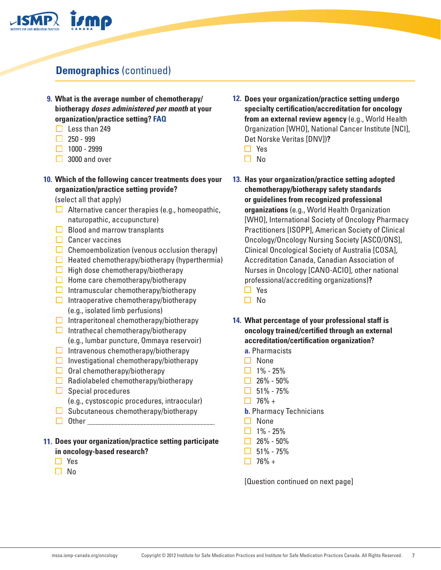

# **Demographics** (continued)

- **What is the average number of chemotherapy/ 9. biotherapy** *doses administered per month* **at your organization/practice setting? FAQ**
	- $\Box$  Less than 249
	- $\Box$  250 999
	- $\Box$  1000 2999
	- $\Box$  3000 and over

#### **Which of the following cancer treatments does your 10. organization/practice setting provide?**

(select all that apply)

- $\Box$  Alternative cancer therapies (e.g., homeopathic, naturopathic, accupuncture)
- $\Box$  Blood and marrow transplants
- $\Box$  Cancer vaccines
- $\Box$  Chemoembolization (venous occlusion therapy)
- $\Box$  Heated chemotherapy/biotherapy (hyperthermia)
- $\Box$  High dose chemotherapy/biotherapy
- $\Box$  Home care chemotherapy/biotherapy
- $\Box$  Intramuscular chemotherapy/biotherapy
- $\Box$  Intraoperative chemotherapy/biotherapy (e.g., isolated limb perfusions)
- $\Box$  Intraperitoneal chemotherapy/biotherapy
- $\Box$  Intrathecal chemotherapy/biotherapy (e.g., lumbar puncture, Ommaya reservoir)
- $\Box$  Intravenous chemotherapy/biotherapy
- $\Box$  Investigational chemotherapy/biotherapy
- $\Box$  Oral chemotherapy/biotherapy
- $\Box$  Radiolabeled chemotherapy/biotherapy
- $\Box$  Special procedures (e.g., cystoscopic procedures, intraocular)
- $\Box$  Subcutaneous chemotherapy/biotherapy
- $\Box$  Other

#### **Does your organization/practice setting participate 11. in oncology-based research?**

- □ Yes
- $\Box$  No
- **Does your organization/practice setting undergo 12. specialty certification/accreditation for oncology from an external review agency** (e.g., World Health Organization [WHO], National Cancer Institute [NCI], Det Norske Veritas [DNV])**?**
	- □ Yes
	- $\Box$  No
- **Has your organization/practice setting adopted 13. chemotherapy/biotherapy safety standards or guidelines from recognized professional organizations** (e.g., World Health Organization [WHO], International Society of Oncology Pharmacy Practitioners [ISOPP], American Society of Clinical Oncology/Oncology Nursing Society [ASCO/ONS], Clinical Oncological Society of Australia [COSA], Accreditation Canada, Canadian Association of Nurses in Oncology [CANO-ACIO], other national professional/accrediting organizations)**?**
	- □ Yes
	- $\square$  No
- **What percentage of your professional staff is 14.oncology trained/certified through an external accreditation/certification organization?**
	- **a.** Pharmacists
	- $\Box$  None
	- $\Box$  1% 25%
	- $\Box$  26% 50%
	- $\Box$  51% 75%
	- $\Box$  76% +
	- **b.** Pharmacy Technicians
	- $\Box$  None
	- $\Box$  1% 25%
	- $\Box$  26% 50%
	- $\Box$  51% 75%
	- $\Box$  76% +

[Question continued on next page]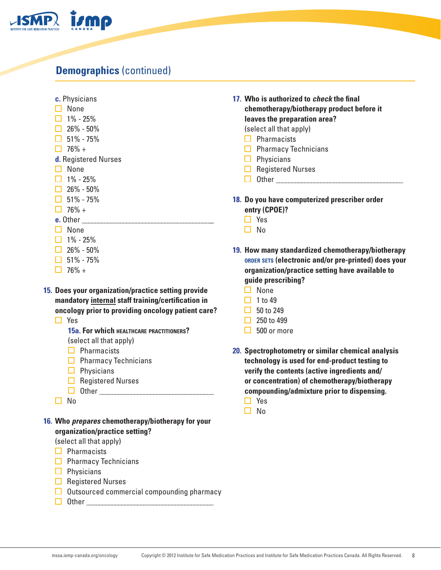

## **Demographics** (continued)

- **c.** Physicians
- $\Box$  None
- $\Box$  1% 25%
- $\Box$  26% 50%
- $\Box$  51% 75%
- $\Box$  76% +
- **d.** Registered Nurses
- □ None
- $\Box$  1% 25%
- $\Box$  26% 50%
- $\Box$  51% 75%
- $\Box$  76% +
- **e.** Other
- $\Box$  None
- $\Box$  1% 25%
- $\Box$  26% 50%
- $\Box$  51% 75%
- $\Box$  76% +
- **Does your organization/practice setting provide 15. mandatory internal staff training/certification in oncology prior to providing oncology patient care?** 
	- □ Yes
		- **15a. For which healthcare practitioners?**  (select all that apply)
		- $\Box$  Pharmacists
		- $\Box$  Pharmacy Technicians
		- $\Box$  Physicians
		- $\Box$  Registered Nurses
		- $\Box$  Other  $\Box$
	- $\square$  No
- **Who** *prepares* **chemotherapy/biotherapy for your 16.organization/practice setting?**

(select all that apply)

- $\Box$  Pharmacists
- $\Box$  Pharmacy Technicians
- $\Box$  Physicians
- $\Box$  Registered Nurses
- $\Box$  Outsourced commercial compounding pharmacy
- Other \_\_\_\_\_\_\_\_\_\_\_\_\_\_\_\_\_\_\_\_\_\_\_\_\_\_\_\_\_\_\_\_\_\_\_\_\_\_\_\_
- **Who is authorized to** *check* **the final 17. chemotherapy/biotherapy product before it leaves the preparation area?** 
	- (select all that apply)
	- $\Box$  Pharmacists
	- $\Box$  Pharmacy Technicians
	- $\Box$  Physicians
	- $\Box$  Registered Nurses
	- $\Box$  Other
- 18. Do you have computerized prescriber order **entry (CPOE)?**
	- □ Yes
	- $\Box$  No
- **How many standardized chemotherapy/biotherapy 19. order sets (electronic and/or pre-printed) does your organization/practice setting have available to guide prescribing?**
	- $\Box$  None
	- $\Box$  1 to 49
	- $\Box$  50 to 249
	- $\Box$  250 to 499
	- $\Box$  500 or more
- **Spectrophotometry or similar chemical analysis 20. technology is used for end-product testing to verify the contents (active ingredients and/ or concentration) of chemotherapy/biotherapy compounding/admixture prior to dispensing.** □ Yes
	- $\Box$  No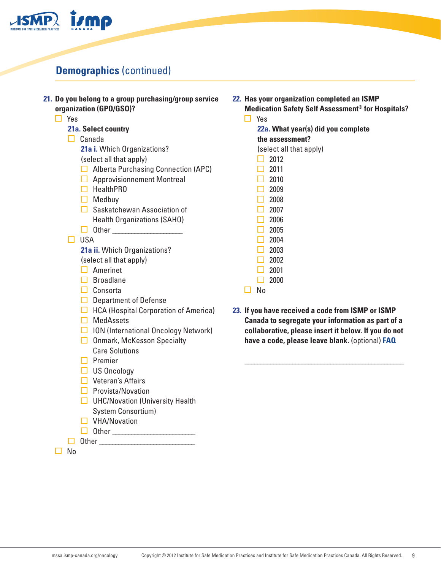

# **Demographics** (continued)

| 21. Do you belong to a group purchasing/group service<br>organization (GPO/GSO)?<br>$\Box$ Yes | 22. Has your organization completed an ISMP<br><b>Medication Safety Self Assessment® for Hospitals?</b><br>$\Box$ Yes |
|------------------------------------------------------------------------------------------------|-----------------------------------------------------------------------------------------------------------------------|
| 21a. Select country                                                                            | 22a. What year(s) did you complete                                                                                    |
| Canada<br>$\Box$                                                                               | the assessment?                                                                                                       |
| 21a i. Which Organizations?                                                                    | (select all that apply)                                                                                               |
| (select all that apply)                                                                        | 2012                                                                                                                  |
| $\Box$ Alberta Purchasing Connection (APC)                                                     | 2011                                                                                                                  |
| $\Box$ Approvisionnement Montreal                                                              | 2010                                                                                                                  |
| $\Box$ HealthPRO                                                                               | 2009                                                                                                                  |
| $\Box$ Medbuy                                                                                  | 2008<br>$\Box$                                                                                                        |
| $\Box$ Saskatchewan Association of                                                             | 2007                                                                                                                  |
| <b>Health Organizations (SAHO)</b>                                                             | 2006                                                                                                                  |
|                                                                                                | 2005                                                                                                                  |
| <b>USA</b><br>◘                                                                                | 2004                                                                                                                  |
| 21a ii. Which Organizations?                                                                   | 2003                                                                                                                  |
| (select all that apply)                                                                        | 2002                                                                                                                  |
| $\Box$ Amerinet                                                                                | 2001<br>H                                                                                                             |
| $\Box$ Broadlane                                                                               | 2000<br>$\Box$                                                                                                        |
| $\Box$ Consorta                                                                                | No<br>П                                                                                                               |
| $\Box$ Department of Defense                                                                   |                                                                                                                       |
| $\Box$ HCA (Hospital Corporation of America)                                                   | 23. If you have received a code from ISMP or ISMP                                                                     |
| $\Box$ MedAssets                                                                               | Canada to segregate your information as part of a                                                                     |
| □ ION (International Oncology Network)                                                         | collaborative, please insert it below. If you do not                                                                  |
| $\Box$ Onmark, McKesson Specialty                                                              | have a code, please leave blank. (optional) FAQ                                                                       |
| <b>Care Solutions</b>                                                                          |                                                                                                                       |
| $\Box$ Premier                                                                                 |                                                                                                                       |
| $\Box$ US Oncology                                                                             |                                                                                                                       |
| $\Box$ Veteran's Affairs                                                                       |                                                                                                                       |
| $\Box$ Provista/Novation                                                                       |                                                                                                                       |
| $\Box$ UHC/Novation (University Health                                                         |                                                                                                                       |
| <b>System Consortium)</b>                                                                      |                                                                                                                       |
| $\Box$ VHA/Novation                                                                            |                                                                                                                       |
|                                                                                                |                                                                                                                       |
| Other                                                                                          |                                                                                                                       |

□ No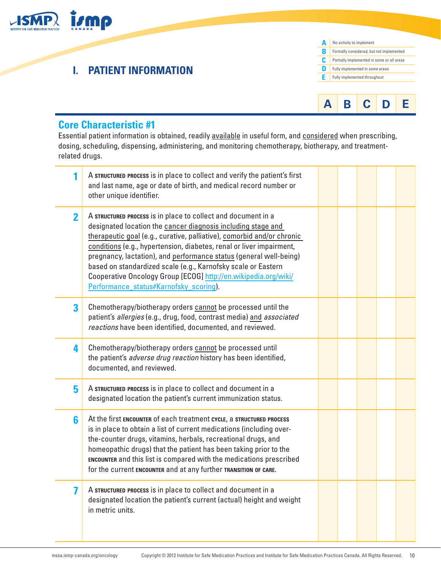

## **I. PATIENT INFORMATION**





### **Core Characteristic #1**

Essential patient information is obtained, readily available in useful form, and considered when prescribing, dosing, scheduling, dispensing, administering, and monitoring chemotherapy, biotherapy, and treatmentrelated drugs.

| 1              | A STRUCTURED PROCESS is in place to collect and verify the patient's first<br>and last name, age or date of birth, and medical record number or<br>other unique identifier.                                                                                                                                                                                                                                                                                                                                                         |  |  |  |
|----------------|-------------------------------------------------------------------------------------------------------------------------------------------------------------------------------------------------------------------------------------------------------------------------------------------------------------------------------------------------------------------------------------------------------------------------------------------------------------------------------------------------------------------------------------|--|--|--|
| $\overline{2}$ | A STRUCTURED PROCESS is in place to collect and document in a<br>designated location the cancer diagnosis including stage and<br>therapeutic goal (e.g., curative, palliative), comorbid and/or chronic<br>conditions (e.g., hypertension, diabetes, renal or liver impairment,<br>pregnancy, lactation), and performance status (general well-being)<br>based on standardized scale (e.g., Karnofsky scale or Eastern<br>Cooperative Oncology Group [ECOG] http://en.wikipedia.org/wiki/<br>Performance_status#Karnofsky_scoring). |  |  |  |
| 3              | Chemotherapy/biotherapy orders cannot be processed until the<br>patient's allergies (e.g., drug, food, contrast media) and associated<br>reactions have been identified, documented, and reviewed.                                                                                                                                                                                                                                                                                                                                  |  |  |  |
| 4              | Chemotherapy/biotherapy orders cannot be processed until<br>the patient's <i>adverse drug reaction</i> history has been identified,<br>documented, and reviewed.                                                                                                                                                                                                                                                                                                                                                                    |  |  |  |
| 5              | A STRUCTURED PROCESS is in place to collect and document in a<br>designated location the patient's current immunization status.                                                                                                                                                                                                                                                                                                                                                                                                     |  |  |  |
| 6              | At the first ENCOUNTER of each treatment CYCLE, a STRUCTURED PROCESS<br>is in place to obtain a list of current medications (including over-<br>the-counter drugs, vitamins, herbals, recreational drugs, and<br>homeopathic drugs) that the patient has been taking prior to the<br>ENCOUNTER and this list is compared with the medications prescribed<br>for the current ENCOUNTER and at any further TRANSITION OF CARE.                                                                                                        |  |  |  |
| 7              | A STRUCTURED PROCESS is in place to collect and document in a<br>designated location the patient's current (actual) height and weight<br>in metric units.                                                                                                                                                                                                                                                                                                                                                                           |  |  |  |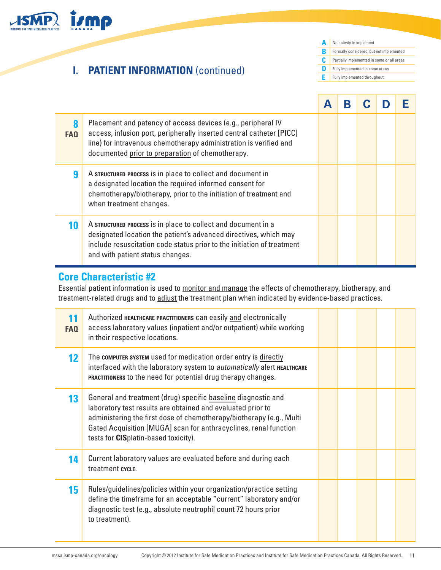

### **Core Characteristic #2**

Essential patient information is used to monitor and manage the effects of chemotherapy, biotherapy, and treatment-related drugs and to adjust the treatment plan when indicated by evidence-based practices.

| FAQ | Authorized HEALTHCARE PRACTITIONERS can easily and electronically<br>access laboratory values (inpatient and/or outpatient) while working<br>in their respective locations.                                                                                                                                              |  |  |  |
|-----|--------------------------------------------------------------------------------------------------------------------------------------------------------------------------------------------------------------------------------------------------------------------------------------------------------------------------|--|--|--|
| 12  | The computer system used for medication order entry is directly<br>interfaced with the laboratory system to automatically alert HEALTHCARE<br>PRACTITIONERS to the need for potential drug therapy changes.                                                                                                              |  |  |  |
| 13  | General and treatment (drug) specific baseline diagnostic and<br>laboratory test results are obtained and evaluated prior to<br>administering the first dose of chemotherapy/biotherapy (e.g., Multi<br>Gated Acquisition [MUGA] scan for anthracyclines, renal function<br>tests for <b>CIS</b> platin-based toxicity). |  |  |  |
| 14  | Current laboratory values are evaluated before and during each<br>treatment cycle.                                                                                                                                                                                                                                       |  |  |  |
| 15  | Rules/guidelines/policies within your organization/practice setting<br>define the timeframe for an acceptable "current" laboratory and/or<br>diagnostic test (e.g., absolute neutrophil count 72 hours prior<br>to treatment).                                                                                           |  |  |  |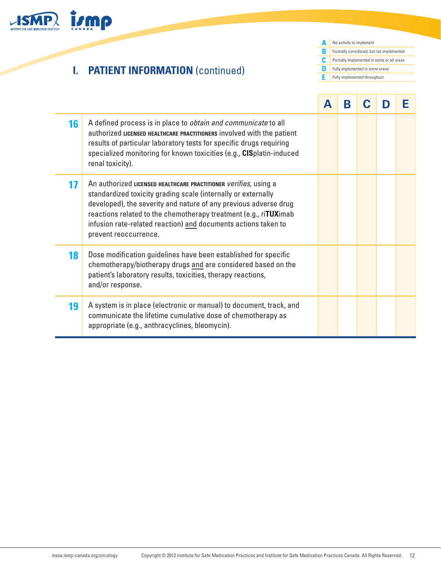

# **I. PATIENT INFORMATION** (continued)

**A** No activity to implement **B** Formally considered, but not implemented **C D E** Fully implemented throughoutPartially implemented in some or all areas Fully implemented in some areas

|    |                                                                                                                                                                                                                                                                                                                                                                              | A | В |  |  |
|----|------------------------------------------------------------------------------------------------------------------------------------------------------------------------------------------------------------------------------------------------------------------------------------------------------------------------------------------------------------------------------|---|---|--|--|
| 16 | A defined process is in place to <i>obtain and communicate</i> to all<br>authorized LICENSED HEALTHCARE PRACTITIONERS involved with the patient<br>results of particular laboratory tests for specific drugs requiring<br>specialized monitoring for known toxicities (e.g., CISplatin-induced<br>renal toxicity).                                                           |   |   |  |  |
| 17 | An authorized LICENSED HEALTHCARE PRACTITIONER <i>verifies</i> , using a<br>standardized toxicity grading scale (internally or externally<br>developed), the severity and nature of any previous adverse drug<br>reactions related to the chemotherapy treatment (e.g., riTUXimab<br>infusion rate-related reaction) and documents actions taken to<br>prevent reoccurrence. |   |   |  |  |
| 18 | Dose modification guidelines have been established for specific<br>chemotherapy/biotherapy drugs and are considered based on the<br>patient's laboratory results, toxicities, therapy reactions,<br>and/or response.                                                                                                                                                         |   |   |  |  |
| 19 | A system is in place (electronic or manual) to document, track, and<br>communicate the lifetime cumulative dose of chemotherapy as<br>appropriate (e.g., anthracyclines, bleomycin).                                                                                                                                                                                         |   |   |  |  |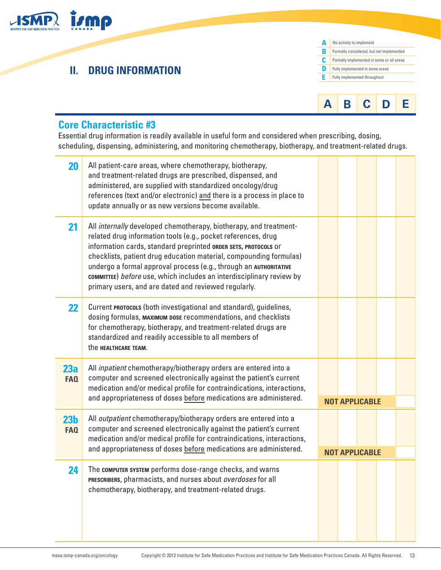

# **II. DRUG INFORMATION**





### **Core Characteristic #3**

Essential drug information is readily available in useful form and considered when prescribing, dosing, scheduling, dispensing, administering, and monitoring chemotherapy, biotherapy, and treatment-related drugs.

| 20                            | All patient-care areas, where chemotherapy, biotherapy,<br>and treatment-related drugs are prescribed, dispensed, and<br>administered, are supplied with standardized oncology/drug<br>references (text and/or electronic) and there is a process in place to<br>update annually or as new versions become available.                                                                                                                                                            |  |                       |  |
|-------------------------------|----------------------------------------------------------------------------------------------------------------------------------------------------------------------------------------------------------------------------------------------------------------------------------------------------------------------------------------------------------------------------------------------------------------------------------------------------------------------------------|--|-----------------------|--|
| 21                            | All internally developed chemotherapy, biotherapy, and treatment-<br>related drug information tools (e.g., pocket references, drug<br>information cards, standard preprinted ORDER SETS, PROTOCOLS Or<br>checklists, patient drug education material, compounding formulas)<br>undergo a formal approval process (e.g., through an AUTHORITATIVE<br>committee) before use, which includes an interdisciplinary review by<br>primary users, and are dated and reviewed regularly. |  |                       |  |
| 22                            | Current PROTOCOLS (both investigational and standard), guidelines,<br>dosing formulas, MAXIMUM DOSE recommendations, and checklists<br>for chemotherapy, biotherapy, and treatment-related drugs are<br>standardized and readily accessible to all members of<br>the HEALTHCARE TEAM.                                                                                                                                                                                            |  |                       |  |
| 23a<br><b>FAQ</b>             | All <i>inpatient</i> chemotherapy/biotherapy orders are entered into a<br>computer and screened electronically against the patient's current<br>medication and/or medical profile for contraindications, interactions,<br>and appropriateness of doses before medications are administered.                                                                                                                                                                                      |  | <b>NOT APPLICABLE</b> |  |
| 23 <sub>b</sub><br><b>FAQ</b> | All <i>outpatient</i> chemotherapy/biotherapy orders are entered into a<br>computer and screened electronically against the patient's current<br>medication and/or medical profile for contraindications, interactions,<br>and appropriateness of doses before medications are administered.                                                                                                                                                                                     |  | <b>NOT APPLICABLE</b> |  |
| 24                            | The computer system performs dose-range checks, and warns<br>PRESCRIBERS, pharmacists, and nurses about overdoses for all<br>chemotherapy, biotherapy, and treatment-related drugs.                                                                                                                                                                                                                                                                                              |  |                       |  |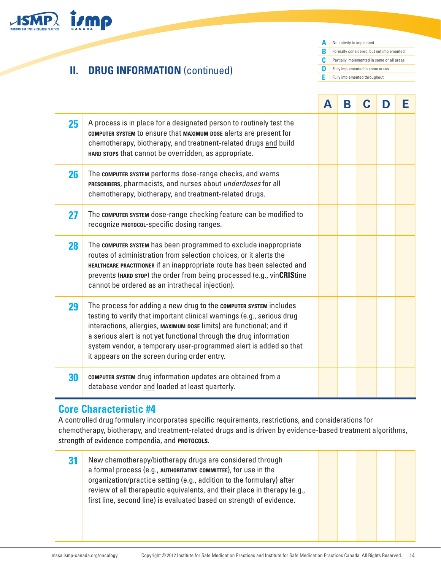

## **II. DRUG INFORMATION (continued)**

**A B** Formally considered, but not implemented **C D E** Fully implemented throughoutNo activity to implement Partially implemented in some or all areas **Fully implemented in some areas** 

|    |                                                                                                                                                                                                                                                                                                                                                                                                                | А | В |  | Е |
|----|----------------------------------------------------------------------------------------------------------------------------------------------------------------------------------------------------------------------------------------------------------------------------------------------------------------------------------------------------------------------------------------------------------------|---|---|--|---|
| 25 | A process is in place for a designated person to routinely test the<br>COMPUTER SYSTEM to ensure that MAXIMUM DOSE alerts are present for<br>chemotherapy, biotherapy, and treatment-related drugs and build<br>HARD STOPS that cannot be overridden, as appropriate.                                                                                                                                          |   |   |  |   |
| 26 | The computer system performs dose-range checks, and warns<br>PRESCRIBERS, pharmacists, and nurses about underdoses for all<br>chemotherapy, biotherapy, and treatment-related drugs.                                                                                                                                                                                                                           |   |   |  |   |
| 27 | The computer system dose-range checking feature can be modified to<br>recognize PROTOCOL-specific dosing ranges.                                                                                                                                                                                                                                                                                               |   |   |  |   |
| 28 | The computer system has been programmed to exclude inappropriate<br>routes of administration from selection choices, or it alerts the<br>HEALTHCARE PRACTITIONER if an inappropriate route has been selected and<br>prevents (HARD STOP) the order from being processed (e.g., vinCRIStine<br>cannot be ordered as an intrathecal injection).                                                                  |   |   |  |   |
| 29 | The process for adding a new drug to the computer system includes<br>testing to verify that important clinical warnings (e.g., serious drug<br>interactions, allergies, MAXIMUM DOSE limits) are functional; and if<br>a serious alert is not yet functional through the drug information<br>system vendor, a temporary user-programmed alert is added so that<br>it appears on the screen during order entry. |   |   |  |   |
| 30 | <b>COMPUTER SYSTEM</b> drug information updates are obtained from a<br>database vendor and loaded at least quarterly.                                                                                                                                                                                                                                                                                          |   |   |  |   |

### **Core Characteristic #4**

A controlled drug formulary incorporates specific requirements, restrictions, and considerations for chemotherapy, biotherapy, and treatment-related drugs and is driven by evidence-based treatment algorithms, strength of evidence compendia, and **protocols**.

**31** New chemotherapy/biotherapy drugs are considered through a formal process (e.g., **authoritative committee**), for use in the organization/practice setting (e.g., addition to the formulary) after review of all therapeutic equivalents, and their place in therapy (e.g., first line, second line) is evaluated based on strength of evidence.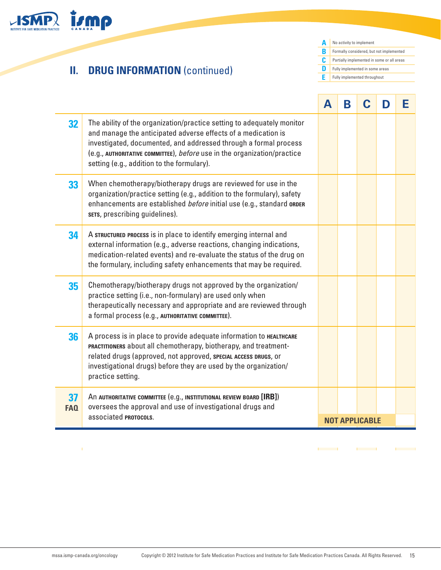

# **II. DRUG INFORMATION (continued)**

**A** No activity to implement **B C D E** Formally considered, but not implemented Partially implemented in some or all areas Fully implemented in some areas Fully implemented throughout

**Contract Contract** 

 $\overline{a}$ 

|           |                                                                                                                                                                                                                                                                                                                                       | A | B |                       | D | Е |
|-----------|---------------------------------------------------------------------------------------------------------------------------------------------------------------------------------------------------------------------------------------------------------------------------------------------------------------------------------------|---|---|-----------------------|---|---|
| 32        | The ability of the organization/practice setting to adequately monitor<br>and manage the anticipated adverse effects of a medication is<br>investigated, documented, and addressed through a formal process<br>(e.g., AUTHORITATIVE COMMITTEE), before use in the organization/practice<br>setting (e.g., addition to the formulary). |   |   |                       |   |   |
| 33        | When chemotherapy/biotherapy drugs are reviewed for use in the<br>organization/practice setting (e.g., addition to the formulary), safety<br>enhancements are established before initial use (e.g., standard ORDER<br>sers, prescribing guidelines).                                                                                  |   |   |                       |   |   |
| 34        | A STRUCTURED PROCESS is in place to identify emerging internal and<br>external information (e.g., adverse reactions, changing indications,<br>medication-related events) and re-evaluate the status of the drug on<br>the formulary, including safety enhancements that may be required.                                              |   |   |                       |   |   |
| 35        | Chemotherapy/biotherapy drugs not approved by the organization/<br>practice setting (i.e., non-formulary) are used only when<br>therapeutically necessary and appropriate and are reviewed through<br>a formal process (e.g., AUTHORITATIVE COMMITTEE).                                                                               |   |   |                       |   |   |
| 36        | A process is in place to provide adequate information to HEALTHCARE<br>PRACTITIONERS about all chemotherapy, biotherapy, and treatment-<br>related drugs (approved, not approved, SPECIAL ACCESS DRUGS, or<br>investigational drugs) before they are used by the organization/<br>practice setting.                                   |   |   |                       |   |   |
| 37<br>FAQ | An AUTHORITATIVE COMMITTEE (e.g., INSTITUTIONAL REVIEW BOARD [IRB])<br>oversees the approval and use of investigational drugs and<br>associated <b>PROTOCOLS.</b>                                                                                                                                                                     |   |   | <b>NOT APPLICABLE</b> |   |   |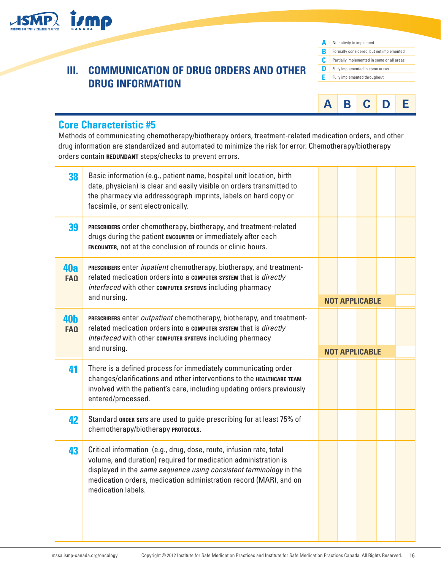

| A | No activity to implement                   |
|---|--------------------------------------------|
| R | Formally considered, but not implemented   |
| c | Partially implemented in some or all areas |
| n | Fully implemented in some areas            |
| Е | Fully implemented throughout               |
|   |                                            |



### **Core Characteristic #5**

Methods of communicating chemotherapy/biotherapy orders, treatment-related medication orders, and other drug information are standardized and automated to minimize the risk for error. Chemotherapy/biotherapy orders contain **REDUNDANT** steps/checks to prevent errors.

| 38                       | Basic information (e.g., patient name, hospital unit location, birth<br>date, physician) is clear and easily visible on orders transmitted to<br>the pharmacy via addressograph imprints, labels on hard copy or<br>facsimile, or sent electronically. |  |                       |  |
|--------------------------|--------------------------------------------------------------------------------------------------------------------------------------------------------------------------------------------------------------------------------------------------------|--|-----------------------|--|
| 39                       | PRESCRIBERS order chemotherapy, biotherapy, and treatment-related<br>drugs during the patient ENCOUNTER or immediately after each<br>ENCOUNTER, not at the conclusion of rounds or clinic hours.                                                       |  |                       |  |
| 40a<br><b>FAQ</b>        | PRESCRIBERS enter <i>inpatient</i> chemotherapy, biotherapy, and treatment-<br>related medication orders into a computer system that is directly<br>interfaced with other computer systems including pharmacy<br>and nursing.                          |  | <b>NOT APPLICABLE</b> |  |
| <b>40b</b><br><b>FAQ</b> | PRESCRIBERS enter outpatient chemotherapy, biotherapy, and treatment-<br>related medication orders into a computer system that is directly<br>interfaced with other computer systems including pharmacy<br>and nursing.                                |  |                       |  |
|                          |                                                                                                                                                                                                                                                        |  | <b>NOT APPLICABLE</b> |  |
| 41                       | There is a defined process for immediately communicating order<br>changes/clarifications and other interventions to the HEALTHCARE TEAM<br>involved with the patient's care, including updating orders previously<br>entered/processed.                |  |                       |  |
| 42                       |                                                                                                                                                                                                                                                        |  |                       |  |
|                          | Standard ORDER SETS are used to guide prescribing for at least 75% of<br>chemotherapy/biotherapy PROTOCOLS.                                                                                                                                            |  |                       |  |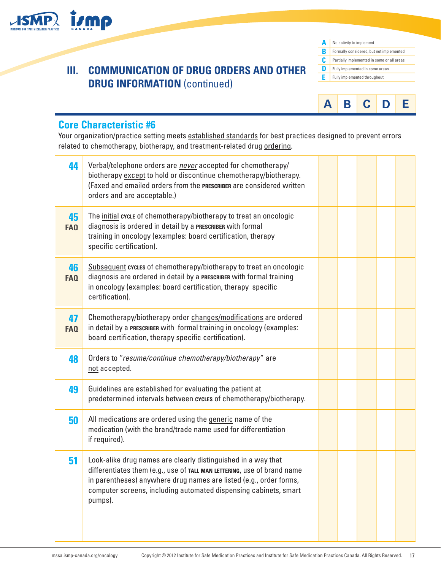

**A B C D E** No activity to implement Formally considered, but not implemented Partially implemented in some or all areas Fully implemented in some areas Fully implemented throughout



### **Core Characteristic #6**

Your organization/practice setting meets established standards for best practices designed to prevent errors related to chemotherapy, biotherapy, and treatment-related drug ordering.

| 44               | Verbal/telephone orders are never accepted for chemotherapy/<br>biotherapy except to hold or discontinue chemotherapy/biotherapy.<br>(Faxed and emailed orders from the PRESCRIBER are considered written<br>orders and are acceptable.)                                                      |  |  |  |
|------------------|-----------------------------------------------------------------------------------------------------------------------------------------------------------------------------------------------------------------------------------------------------------------------------------------------|--|--|--|
| 45<br><b>FAQ</b> | The initial cycle of chemotherapy/biotherapy to treat an oncologic<br>diagnosis is ordered in detail by a PRESCRIBER with formal<br>training in oncology (examples: board certification, therapy<br>specific certification).                                                                  |  |  |  |
| 46<br><b>FAQ</b> | Subsequent cycles of chemotherapy/biotherapy to treat an oncologic<br>diagnosis are ordered in detail by a PRESCRIBER with formal training<br>in oncology (examples: board certification, therapy specific<br>certification).                                                                 |  |  |  |
| 47<br><b>FAQ</b> | Chemotherapy/biotherapy order changes/modifications are ordered<br>in detail by a PRESCRIBER with formal training in oncology (examples:<br>board certification, therapy specific certification).                                                                                             |  |  |  |
| 48               | Orders to "resume/continue chemotherapy/biotherapy" are<br>not accepted.                                                                                                                                                                                                                      |  |  |  |
| 49               | Guidelines are established for evaluating the patient at<br>predetermined intervals between cycles of chemotherapy/biotherapy.                                                                                                                                                                |  |  |  |
| 50               | All medications are ordered using the generic name of the<br>medication (with the brand/trade name used for differentiation<br>if required).                                                                                                                                                  |  |  |  |
| 51               | Look-alike drug names are clearly distinguished in a way that<br>differentiates them (e.g., use of TALL MAN LETTERING, use of brand name<br>in parentheses) anywhere drug names are listed (e.g., order forms,<br>computer screens, including automated dispensing cabinets, smart<br>pumps). |  |  |  |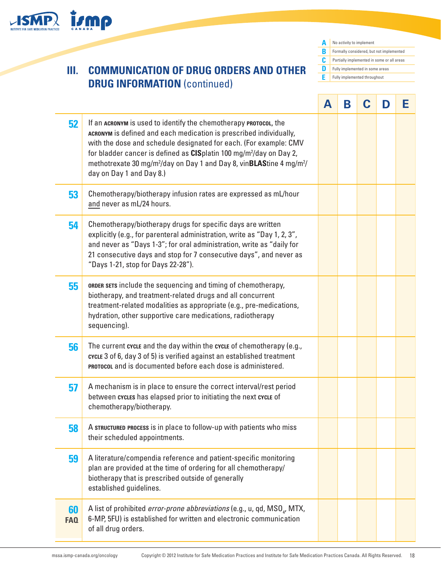

**A B C D E** No activity to implement Formally considered, but not implemented Partially implemented in some or all areas Fully implemented in some areas Fully implemented throughout

|                  |                                                                                                                                                                                                                                                                                                                                                                                                                                     | A | B | C | D | Е |
|------------------|-------------------------------------------------------------------------------------------------------------------------------------------------------------------------------------------------------------------------------------------------------------------------------------------------------------------------------------------------------------------------------------------------------------------------------------|---|---|---|---|---|
| 52               | If an ACRONYM is used to identify the chemotherapy PROTOCOL, the<br>ACRONYM is defined and each medication is prescribed individually,<br>with the dose and schedule designated for each. (For example: CMV<br>for bladder cancer is defined as CISplatin 100 mg/m <sup>2</sup> /day on Day 2,<br>methotrexate 30 mg/m <sup>2</sup> /day on Day 1 and Day 8, vin <b>BLAS</b> tine 4 mg/m <sup>2</sup> /<br>day on Day 1 and Day 8.) |   |   |   |   |   |
| 53               | Chemotherapy/biotherapy infusion rates are expressed as mL/hour<br>and never as mL/24 hours.                                                                                                                                                                                                                                                                                                                                        |   |   |   |   |   |
| 54               | Chemotherapy/biotherapy drugs for specific days are written<br>explicitly (e.g., for parenteral administration, write as "Day 1, 2, 3",<br>and never as "Days 1-3"; for oral administration, write as "daily for<br>21 consecutive days and stop for 7 consecutive days", and never as<br>"Days 1-21, stop for Days 22-28").                                                                                                        |   |   |   |   |   |
| 55               | <b>ORDER SETS</b> include the sequencing and timing of chemotherapy,<br>biotherapy, and treatment-related drugs and all concurrent<br>treatment-related modalities as appropriate (e.g., pre-medications,<br>hydration, other supportive care medications, radiotherapy<br>sequencing).                                                                                                                                             |   |   |   |   |   |
| 56               | The current cycle and the day within the cycle of chemotherapy (e.g.,<br>cycle 3 of 6, day 3 of 5) is verified against an established treatment<br><b>PROTOCOL</b> and is documented before each dose is administered.                                                                                                                                                                                                              |   |   |   |   |   |
| 57               | A mechanism is in place to ensure the correct interval/rest period<br>between cycles has elapsed prior to initiating the next cycle of<br>chemotherapy/biotherapy.                                                                                                                                                                                                                                                                  |   |   |   |   |   |
| 58               | A STRUCTURED PROCESS is in place to follow-up with patients who miss<br>their scheduled appointments.                                                                                                                                                                                                                                                                                                                               |   |   |   |   |   |
| 59               | A literature/compendia reference and patient-specific monitoring<br>plan are provided at the time of ordering for all chemotherapy/<br>biotherapy that is prescribed outside of generally<br>established guidelines.                                                                                                                                                                                                                |   |   |   |   |   |
| 60<br><b>FAQ</b> | A list of prohibited <i>error-prone abbreviations</i> (e.g., u, qd, $MSO_{a}$ , MTX,<br>6-MP, 5FU) is established for written and electronic communication<br>of all drug orders.                                                                                                                                                                                                                                                   |   |   |   |   |   |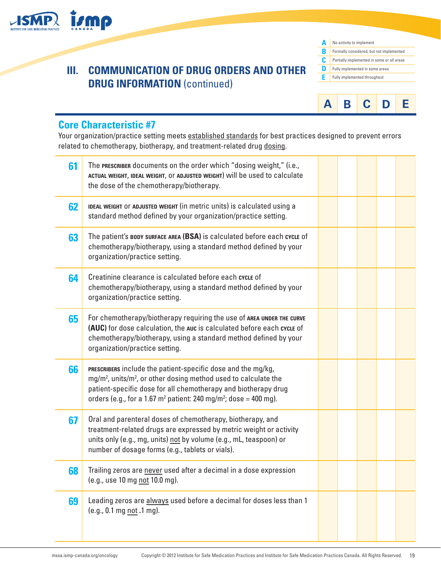

| Δ | No activity to implement                   |
|---|--------------------------------------------|
| B | Formally considered, but not implemented   |
| C | Partially implemented in some or all areas |
| n | Fully implemented in some areas            |
| F | Fully implemented throughout               |
|   |                                            |



### **Core Characteristic #7**

Your organization/practice setting meets established standards for best practices designed to prevent errors related to chemotherapy, biotherapy, and treatment-related drug dosing.

| 61 | The PRESCRIBER documents on the order which "dosing weight," (i.e.,<br>ACTUAL WEIGHT, IDEAL WEIGHT, OF ADJUSTED WEIGHT) Will be used to calculate<br>the dose of the chemotherapy/biotherapy.                                                                                                                |  |  |  |
|----|--------------------------------------------------------------------------------------------------------------------------------------------------------------------------------------------------------------------------------------------------------------------------------------------------------------|--|--|--|
| 62 | IDEAL WEIGHT OF ADJUSTED WEIGHT (in metric units) is calculated using a<br>standard method defined by your organization/practice setting.                                                                                                                                                                    |  |  |  |
| 63 | The patient's BODY SURFACE AREA (BSA) is calculated before each cycle of<br>chemotherapy/biotherapy, using a standard method defined by your<br>organization/practice setting.                                                                                                                               |  |  |  |
| 64 | Creatinine clearance is calculated before each cycle of<br>chemotherapy/biotherapy, using a standard method defined by your<br>organization/practice setting.                                                                                                                                                |  |  |  |
| 65 | For chemotherapy/biotherapy requiring the use of AREA UNDER THE CURVE<br>(AUC) for dose calculation, the auc is calculated before each cycle of<br>chemotherapy/biotherapy, using a standard method defined by your<br>organization/practice setting.                                                        |  |  |  |
| 66 | PRESCRIBERS include the patient-specific dose and the mg/kg,<br>mg/m <sup>2</sup> , units/m <sup>2</sup> , or other dosing method used to calculate the<br>patient-specific dose for all chemotherapy and biotherapy drug<br>orders (e.g., for a 1.67 $m^2$ patient: 240 mg/m <sup>2</sup> ; dose = 400 mg). |  |  |  |
| 67 | Oral and parenteral doses of chemotherapy, biotherapy, and<br>treatment-related drugs are expressed by metric weight or activity<br>units only (e.g., mg, units) not by volume (e.g., mL, teaspoon) or<br>number of dosage forms (e.g., tablets or vials).                                                   |  |  |  |
| 68 | Trailing zeros are never used after a decimal in a dose expression<br>(e.g., use 10 mg not 10.0 mg).                                                                                                                                                                                                         |  |  |  |
| 69 | Leading zeros are always used before a decimal for doses less than 1<br>(e.g., 0.1 mg not .1 mg).                                                                                                                                                                                                            |  |  |  |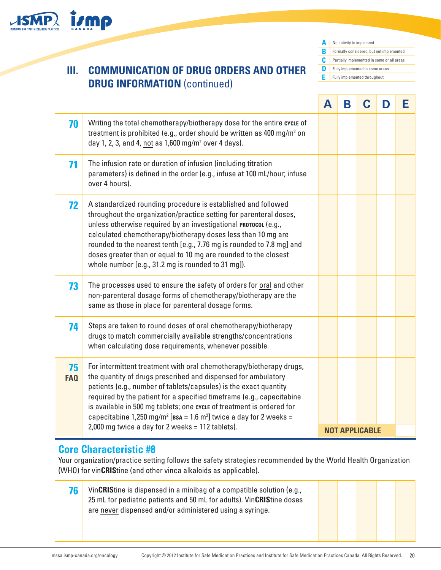

**A B** Formally considered, but not implemented **C D E** Fully implemented throughoutNo activity to implement Partially implemented in some or all areas **Fully implemented in some areas** 

|                  |                                                                                                                                                                                                                                                                                                                                                                                                                                                                                                                         | A | B | C                     | D | F |
|------------------|-------------------------------------------------------------------------------------------------------------------------------------------------------------------------------------------------------------------------------------------------------------------------------------------------------------------------------------------------------------------------------------------------------------------------------------------------------------------------------------------------------------------------|---|---|-----------------------|---|---|
| 70               | Writing the total chemotherapy/biotherapy dose for the entire cycle of<br>treatment is prohibited (e.g., order should be written as 400 mg/m <sup>2</sup> on<br>day 1, 2, 3, and 4, not as $1,600$ mg/m <sup>2</sup> over 4 days).                                                                                                                                                                                                                                                                                      |   |   |                       |   |   |
| 71               | The infusion rate or duration of infusion (including titration<br>parameters) is defined in the order (e.g., infuse at 100 mL/hour; infuse<br>over 4 hours).                                                                                                                                                                                                                                                                                                                                                            |   |   |                       |   |   |
| 72               | A standardized rounding procedure is established and followed<br>throughout the organization/practice setting for parenteral doses,<br>unless otherwise required by an investigational PROTOCOL (e.g.,<br>calculated chemotherapy/biotherapy doses less than 10 mg are<br>rounded to the nearest tenth [e.g., 7.76 mg is rounded to 7.8 mg] and<br>doses greater than or equal to 10 mg are rounded to the closest<br>whole number [e.g., 31.2 mg is rounded to 31 mg]).                                                |   |   |                       |   |   |
| 73               | The processes used to ensure the safety of orders for oral and other<br>non-parenteral dosage forms of chemotherapy/biotherapy are the<br>same as those in place for parenteral dosage forms.                                                                                                                                                                                                                                                                                                                           |   |   |                       |   |   |
| 74               | Steps are taken to round doses of oral chemotherapy/biotherapy<br>drugs to match commercially available strengths/concentrations<br>when calculating dose requirements, whenever possible.                                                                                                                                                                                                                                                                                                                              |   |   |                       |   |   |
| 75<br><b>FAQ</b> | For intermittent treatment with oral chemotherapy/biotherapy drugs,<br>the quantity of drugs prescribed and dispensed for ambulatory<br>patients (e.g., number of tablets/capsules) is the exact quantity<br>required by the patient for a specified timeframe (e.g., capecitabine<br>is available in 500 mg tablets; one cycLE of treatment is ordered for<br>capecitabine 1,250 mg/m <sup>2</sup> [ $\text{BSA} = 1.6$ m <sup>2</sup> ] twice a day for 2 weeks =<br>2,000 mg twice a day for 2 weeks = 112 tablets). |   |   | <b>NOT APPLICABLE</b> |   |   |

### **Core Characteristic #8**

Your organization/practice setting follows the safety strategies recommended by the World Health Organization (WHO) for vin**CRIS**tine (and other vinca alkaloids as applicable).

**76** VinCRIStine is dispensed in a minibag of a compatible solution (e.g., 25 mL for pediatric patients and 50 mL for adults). Vin**CRIS**tine doses are never dispensed and/or administered using a syringe.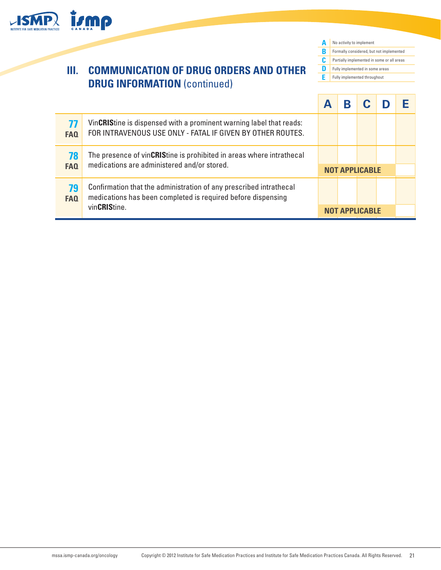

**A** No activity to implement **B C D E** Formally considered, but not implemented Partially implemented in some or all areas Fully implemented in some areas Fully implemented throughout

| 77<br>FA <sub>Q</sub> | VinCRIStine is dispensed with a prominent warning label that reads:<br>FOR INTRAVENOUS USE ONLY - FATAL IF GIVEN BY OTHER ROUTES.                  |  |                       |  |
|-----------------------|----------------------------------------------------------------------------------------------------------------------------------------------------|--|-----------------------|--|
| 78<br>FA <sub>0</sub> | The presence of vinCRIStine is prohibited in areas where intrathecal<br>medications are administered and/or stored.                                |  | <b>NOT APPLICABLE</b> |  |
| 79<br><b>FAQ</b>      | Confirmation that the administration of any prescribed intrathecal<br>medications has been completed is required before dispensing<br>vinCRIStine. |  |                       |  |
|                       |                                                                                                                                                    |  | <b>NOT APPLICABLE</b> |  |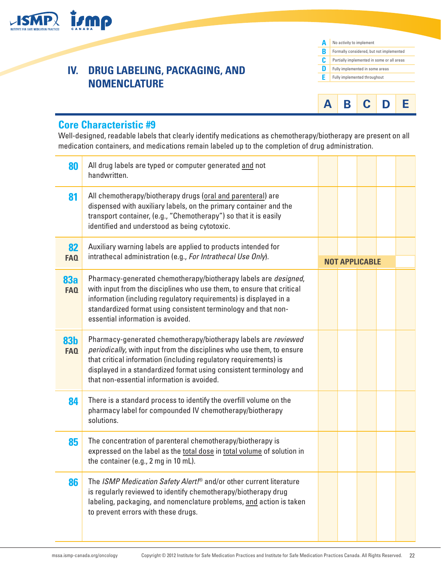



### **Core Characteristic #9**

**İsmp** 

Well-designed, readable labels that clearly identify medications as chemotherapy/biotherapy are present on all medication containers, and medications remain labeled up to the completion of drug administration.

| 80                       | All drug labels are typed or computer generated and not<br>handwritten.                                                                                                                                                                                                                                                          |  |                       |  |
|--------------------------|----------------------------------------------------------------------------------------------------------------------------------------------------------------------------------------------------------------------------------------------------------------------------------------------------------------------------------|--|-----------------------|--|
| 81                       | All chemotherapy/biotherapy drugs (oral and parenteral) are<br>dispensed with auxiliary labels, on the primary container and the<br>transport container, (e.g., "Chemotherapy") so that it is easily<br>identified and understood as being cytotoxic.                                                                            |  |                       |  |
| 82                       | Auxiliary warning labels are applied to products intended for<br>intrathecal administration (e.g., For Intrathecal Use Only).                                                                                                                                                                                                    |  |                       |  |
| <b>FAQ</b>               |                                                                                                                                                                                                                                                                                                                                  |  | <b>NOT APPLICABLE</b> |  |
| 83a<br><b>FAQ</b>        | Pharmacy-generated chemotherapy/biotherapy labels are <i>designed</i> ,<br>with input from the disciplines who use them, to ensure that critical<br>information (including regulatory requirements) is displayed in a<br>standardized format using consistent terminology and that non-<br>essential information is avoided.     |  |                       |  |
| <b>83b</b><br><b>FAQ</b> | Pharmacy-generated chemotherapy/biotherapy labels are reviewed<br>periodically, with input from the disciplines who use them, to ensure<br>that critical information (including regulatory requirements) is<br>displayed in a standardized format using consistent terminology and<br>that non-essential information is avoided. |  |                       |  |
| 84                       | There is a standard process to identify the overfill volume on the<br>pharmacy label for compounded IV chemotherapy/biotherapy<br>solutions.                                                                                                                                                                                     |  |                       |  |
| 85                       | The concentration of parenteral chemotherapy/biotherapy is<br>expressed on the label as the total dose in total volume of solution in<br>the container (e.g., 2 mg in 10 mL).                                                                                                                                                    |  |                       |  |
| 86                       | The ISMP Medication Safety Alert! <sup>®</sup> and/or other current literature<br>is regularly reviewed to identify chemotherapy/biotherapy drug<br>labeling, packaging, and nomenclature problems, and action is taken<br>to prevent errors with these drugs.                                                                   |  |                       |  |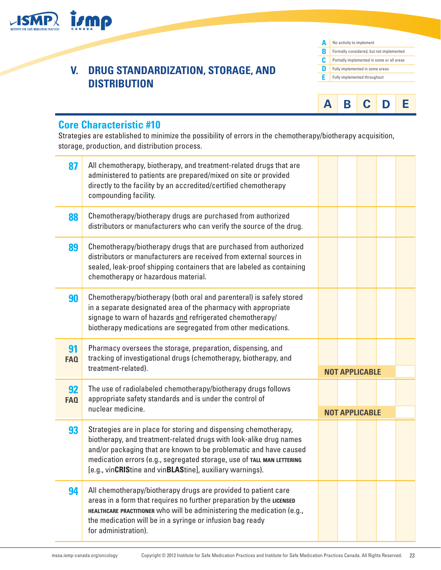

### **V. DRUG STANDARDIZATION, STORAGE, AND DISTRIBUTION**





### **Core Characteristic #10**

Strategies are established to minimize the possibility of errors in the chemotherapy/biotherapy acquisition, storage, production, and distribution process.

| 87               | All chemotherapy, biotherapy, and treatment-related drugs that are<br>administered to patients are prepared/mixed on site or provided<br>directly to the facility by an accredited/certified chemotherapy<br>compounding facility.                                                                                                                 |  |                       |  |
|------------------|----------------------------------------------------------------------------------------------------------------------------------------------------------------------------------------------------------------------------------------------------------------------------------------------------------------------------------------------------|--|-----------------------|--|
| 88               | Chemotherapy/biotherapy drugs are purchased from authorized<br>distributors or manufacturers who can verify the source of the drug.                                                                                                                                                                                                                |  |                       |  |
| 89               | Chemotherapy/biotherapy drugs that are purchased from authorized<br>distributors or manufacturers are received from external sources in<br>sealed, leak-proof shipping containers that are labeled as containing<br>chemotherapy or hazardous material.                                                                                            |  |                       |  |
| 90               | Chemotherapy/biotherapy (both oral and parenteral) is safely stored<br>in a separate designated area of the pharmacy with appropriate<br>signage to warn of hazards and refrigerated chemotherapy/<br>biotherapy medications are segregated from other medications.                                                                                |  |                       |  |
| 91<br><b>FAQ</b> | Pharmacy oversees the storage, preparation, dispensing, and<br>tracking of investigational drugs (chemotherapy, biotherapy, and<br>treatment-related).                                                                                                                                                                                             |  | <b>NOT APPLICABLE</b> |  |
| 92<br><b>FAQ</b> | The use of radiolabeled chemotherapy/biotherapy drugs follows<br>appropriate safety standards and is under the control of<br>nuclear medicine.                                                                                                                                                                                                     |  | <b>NOT APPLICABLE</b> |  |
| 93               | Strategies are in place for storing and dispensing chemotherapy,<br>biotherapy, and treatment-related drugs with look-alike drug names<br>and/or packaging that are known to be problematic and have caused<br>medication errors (e.g., segregated storage, use of TALL MAN LETTERING<br>[e.g., vinCRIStine and vinBLAStine], auxiliary warnings). |  |                       |  |
| 94               | All chemotherapy/biotherapy drugs are provided to patient care<br>areas in a form that requires no further preparation by the LICENSED<br>HEALTHCARE PRACTITIONER who will be administering the medication (e.g.,<br>the medication will be in a syringe or infusion bag ready<br>for administration).                                             |  |                       |  |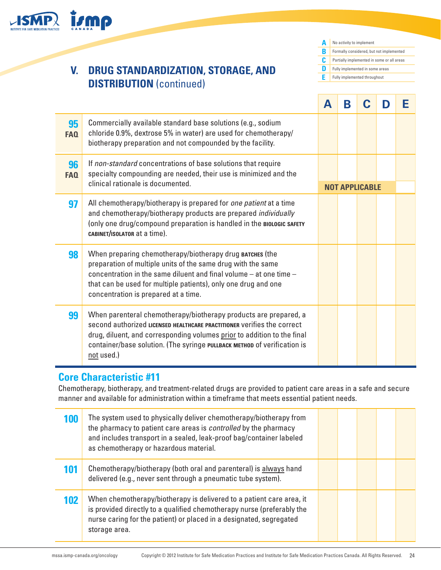

### **Core Characteristic #11**

Chemotherapy, biotherapy, and treatment-related drugs are provided to patient care areas in a safe and secure manner and available for administration within a timeframe that meets essential patient needs.

| 100 | The system used to physically deliver chemotherapy/biotherapy from<br>the pharmacy to patient care areas is <i>controlled</i> by the pharmacy<br>and includes transport in a sealed, leak-proof bag/container labeled<br>as chemotherapy or hazardous material. |  |  |  |
|-----|-----------------------------------------------------------------------------------------------------------------------------------------------------------------------------------------------------------------------------------------------------------------|--|--|--|
| 101 | Chemotherapy/biotherapy (both oral and parenteral) is always hand<br>delivered (e.g., never sent through a pneumatic tube system).                                                                                                                              |  |  |  |
| 102 | When chemotherapy/biotherapy is delivered to a patient care area, it<br>is provided directly to a qualified chemotherapy nurse (preferably the<br>nurse caring for the patient) or placed in a designated, segregated<br>storage area.                          |  |  |  |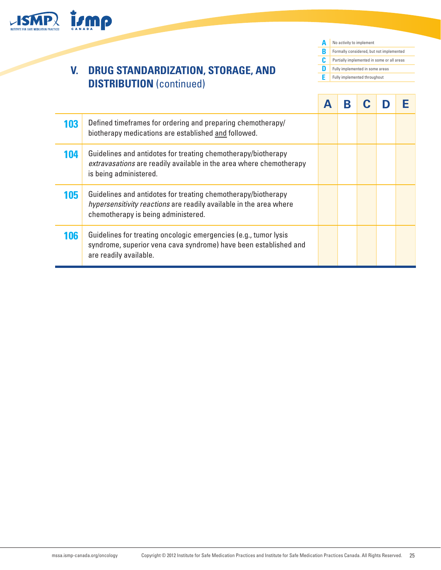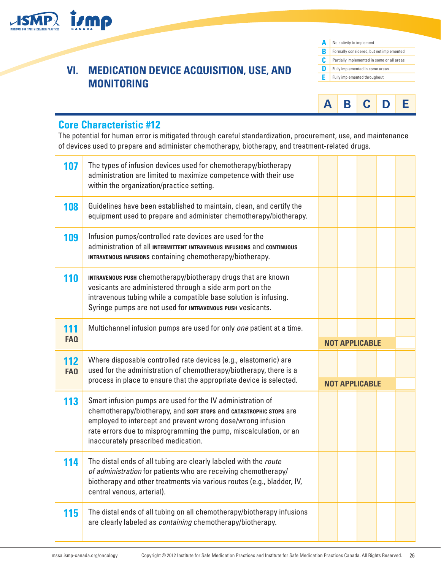

### **VI. MEDICATION DEVICE ACQUISITION, USE, AND MONITORING**





### **Core Characteristic #12**

The potential for human error is mitigated through careful standardization, procurement, use, and maintenance of devices used to prepare and administer chemotherapy, biotherapy, and treatment-related drugs.

| 107                      | The types of infusion devices used for chemotherapy/biotherapy<br>administration are limited to maximize competence with their use<br>within the organization/practice setting.                                                                                                                             |  |                       |  |
|--------------------------|-------------------------------------------------------------------------------------------------------------------------------------------------------------------------------------------------------------------------------------------------------------------------------------------------------------|--|-----------------------|--|
| 108                      | Guidelines have been established to maintain, clean, and certify the<br>equipment used to prepare and administer chemotherapy/biotherapy.                                                                                                                                                                   |  |                       |  |
| 109                      | Infusion pumps/controlled rate devices are used for the<br>administration of all INTERMITTENT INTRAVENOUS INFUSIONS and CONTINUOUS<br>INTRAVENOUS INFUSIONS containing chemotherapy/biotherapy.                                                                                                             |  |                       |  |
| <b>110</b>               | INTRAVENOUS PUSH chemotherapy/biotherapy drugs that are known<br>vesicants are administered through a side arm port on the<br>intravenous tubing while a compatible base solution is infusing.<br>Syringe pumps are not used for INTRAVENOUS PUSH vesicants.                                                |  |                       |  |
| 111<br><b>FAQ</b>        | Multichannel infusion pumps are used for only one patient at a time.                                                                                                                                                                                                                                        |  | <b>NOT APPLICABLE</b> |  |
| <b>112</b><br><b>FAQ</b> | Where disposable controlled rate devices (e.g., elastomeric) are<br>used for the administration of chemotherapy/biotherapy, there is a<br>process in place to ensure that the appropriate device is selected.                                                                                               |  |                       |  |
|                          |                                                                                                                                                                                                                                                                                                             |  | <b>NOT APPLICABLE</b> |  |
| 113                      | Smart infusion pumps are used for the IV administration of<br>chemotherapy/biotherapy, and sort stops and сатазтворнос stops are<br>employed to intercept and prevent wrong dose/wrong infusion<br>rate errors due to misprogramming the pump, miscalculation, or an<br>inaccurately prescribed medication. |  |                       |  |
| 114                      | The distal ends of all tubing are clearly labeled with the route<br>of administration for patients who are receiving chemotherapy/<br>biotherapy and other treatments via various routes (e.g., bladder, IV,<br>central venous, arterial).                                                                  |  |                       |  |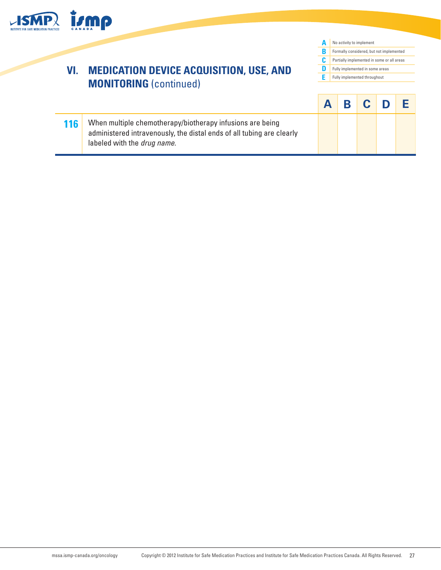

## **VI. MEDICATION DEVICE ACQUISITION, USE, AND MONITORING** (continued)

**A B C D E A B C D E** No activity to implement Formally considered, but not implemented Partially implemented in some or all areas Fully implemented in some areas Fully implemented throughout

**116** When multiple chemotherapy/biotherapy infusions are being administered intravenously, the distal ends of all tubing are clearly labeled with the *drug name*.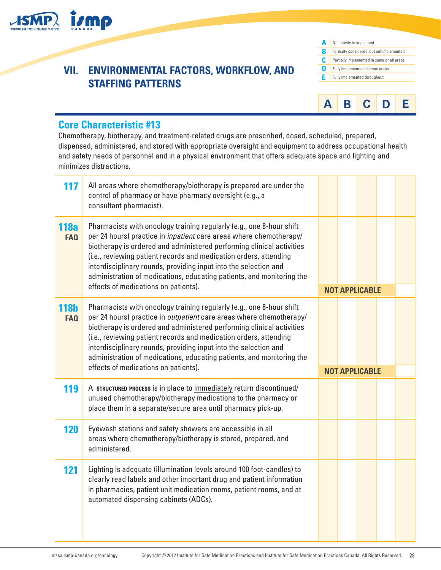

## **VII. ENVIRONMENTAL FACTORS, WORKFLOW, AND STAFFING PATTERNS**





### **Core Characteristic #13**

Chemotherapy, biotherapy, and treatment-related drugs are prescribed, dosed, scheduled, prepared, dispensed, administered, and stored with appropriate oversight and equipment to address occupational health and safety needs of personnel and in a physical environment that offers adequate space and lighting and minimizes distractions.

| 117                       | All areas where chemotherapy/biotherapy is prepared are under the<br>control of pharmacy or have pharmacy oversight (e.g., a<br>consultant pharmacist).                                                                                                                                                                                                                                                                                                                               |  |                       |  |
|---------------------------|---------------------------------------------------------------------------------------------------------------------------------------------------------------------------------------------------------------------------------------------------------------------------------------------------------------------------------------------------------------------------------------------------------------------------------------------------------------------------------------|--|-----------------------|--|
| <b>118a</b><br><b>FAQ</b> | Pharmacists with oncology training regularly (e.g., one 8-hour shift<br>per 24 hours) practice in <i>inpatient</i> care areas where chemotherapy/<br>biotherapy is ordered and administered performing clinical activities<br>(i.e., reviewing patient records and medication orders, attending<br>interdisciplinary rounds, providing input into the selection and<br>administration of medications, educating patients, and monitoring the<br>effects of medications on patients).  |  | <b>NOT APPLICABLE</b> |  |
| <b>118b</b><br><b>FAQ</b> | Pharmacists with oncology training regularly (e.g., one 8-hour shift<br>per 24 hours) practice in <i>outpatient</i> care areas where chemotherapy/<br>biotherapy is ordered and administered performing clinical activities<br>(i.e., reviewing patient records and medication orders, attending<br>interdisciplinary rounds, providing input into the selection and<br>administration of medications, educating patients, and monitoring the<br>effects of medications on patients). |  | <b>NOT APPLICABLE</b> |  |
|                           |                                                                                                                                                                                                                                                                                                                                                                                                                                                                                       |  |                       |  |
| 119                       | A STRUCTURED PROCESS is in place to immediately return discontinued/<br>unused chemotherapy/biotherapy medications to the pharmacy or<br>place them in a separate/secure area until pharmacy pick-up.                                                                                                                                                                                                                                                                                 |  |                       |  |
| <b>120</b>                | Eyewash stations and safety showers are accessible in all<br>areas where chemotherapy/biotherapy is stored, prepared, and<br>administered.                                                                                                                                                                                                                                                                                                                                            |  |                       |  |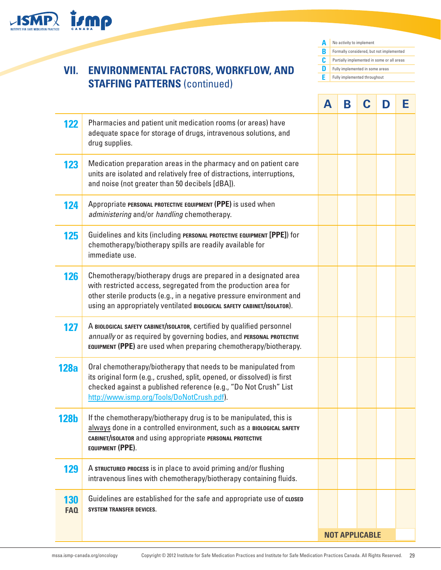

## **VII. ENVIRONMENTAL FACTORS, WORKFLOW, AND STAFFING PATTERNS** (continued)

**A** No activity to implement **B C D E** Formally considered, but not implemented Partially implemented in some or all areas Fully implemented in some areas Fully implemented throughout

|                          |                                                                                                                                                                                                                                                                                      | А | Β | C                     | D | Е |
|--------------------------|--------------------------------------------------------------------------------------------------------------------------------------------------------------------------------------------------------------------------------------------------------------------------------------|---|---|-----------------------|---|---|
| 122                      | Pharmacies and patient unit medication rooms (or areas) have<br>adequate space for storage of drugs, intravenous solutions, and<br>drug supplies.                                                                                                                                    |   |   |                       |   |   |
| 123                      | Medication preparation areas in the pharmacy and on patient care<br>units are isolated and relatively free of distractions, interruptions,<br>and noise (not greater than 50 decibels [dBA]).                                                                                        |   |   |                       |   |   |
| 124                      | Appropriate PERSONAL PROTECTIVE EQUIPMENT (PPE) is used when<br>administering and/or handling chemotherapy.                                                                                                                                                                          |   |   |                       |   |   |
| 125                      | Guidelines and kits (including PERSONAL PROTECTIVE EQUIPMENT [PPE]) for<br>chemotherapy/biotherapy spills are readily available for<br>immediate use.                                                                                                                                |   |   |                       |   |   |
| 126                      | Chemotherapy/biotherapy drugs are prepared in a designated area<br>with restricted access, segregated from the production area for<br>other sterile products (e.g., in a negative pressure environment and<br>using an appropriately ventilated BIOLOGICAL SAFETY CABINET/ISOLATOR). |   |   |                       |   |   |
| 127                      | A BIOLOGICAL SAFETY CABINET/ISOLATOR, certified by qualified personnel<br>annually or as required by governing bodies, and PERSONAL PROTECTIVE<br>EQUIPMENT (PPE) are used when preparing chemotherapy/biotherapy.                                                                   |   |   |                       |   |   |
| <b>128a</b>              | Oral chemotherapy/biotherapy that needs to be manipulated from<br>its original form (e.g., crushed, split, opened, or dissolved) is first<br>checked against a published reference (e.g., "Do Not Crush" List<br>http://www.ismp.org/Tools/DoNotCrush.pdf).                          |   |   |                       |   |   |
| <b>128b</b>              | If the chemotherapy/biotherapy drug is to be manipulated, this is<br>always done in a controlled environment, such as a BIOLOGICAL SAFETY<br>CABINET/ISOLATOR and using appropriate PERSONAL PROTECTIVE<br>EQUIPMENT (PPE).                                                          |   |   |                       |   |   |
| 129                      | A STRUCTURED PROCESS is in place to avoid priming and/or flushing<br>intravenous lines with chemotherapy/biotherapy containing fluids.                                                                                                                                               |   |   |                       |   |   |
| <b>130</b><br><b>FAQ</b> | Guidelines are established for the safe and appropriate use of closed<br><b>SYSTEM TRANSFER DEVICES.</b>                                                                                                                                                                             |   |   |                       |   |   |
|                          |                                                                                                                                                                                                                                                                                      |   |   | <b>NOT APPLICABLE</b> |   |   |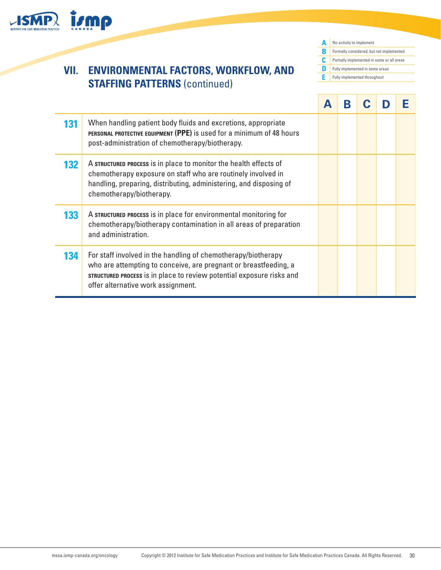

## **VII. ENVIRONMENTAL FACTORS, WORKFLOW, AND STAFFING PATTERNS** (continued)

**A** No activity to implement **B C D E** Formally considered, but not implemented Partially implemented in some or all areas Fully implemented in some areas Fully implemented throughout

|     |                                                                                                                                                                                                                                                  | Β |  |  |
|-----|--------------------------------------------------------------------------------------------------------------------------------------------------------------------------------------------------------------------------------------------------|---|--|--|
| 131 | When handling patient body fluids and excretions, appropriate<br>PERSONAL PROTECTIVE EQUIPMENT (PPE) is used for a minimum of 48 hours<br>post-administration of chemotherapy/biotherapy.                                                        |   |  |  |
| 132 | A STRUCTURED PROCESS is in place to monitor the health effects of<br>chemotherapy exposure on staff who are routinely involved in<br>handling, preparing, distributing, administering, and disposing of<br>chemotherapy/biotherapy.              |   |  |  |
| 133 | A STRUCTURED PROCESS is in place for environmental monitoring for<br>chemotherapy/biotherapy contamination in all areas of preparation<br>and administration.                                                                                    |   |  |  |
| 134 | For staff involved in the handling of chemotherapy/biotherapy<br>who are attempting to conceive, are pregnant or breastfeeding, a<br>STRUCTURED PROCESS is in place to review potential exposure risks and<br>offer alternative work assignment. |   |  |  |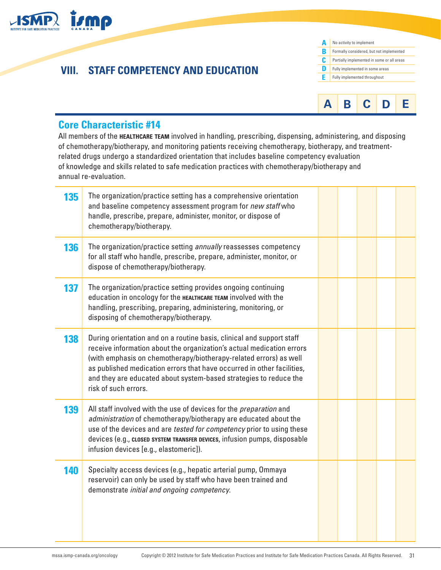

## **VIII. STAFF COMPETENCY AND EDUCATION**

| Δ | No activity to implement                   |
|---|--------------------------------------------|
| R | Formally considered, but not implemented   |
| C | Partially implemented in some or all areas |
| n | Fully implemented in some areas            |
| F | Fully implemented throughout               |
|   |                                            |
|   |                                            |

**A B C D E**

### **Core Characteristic #14**

All members of the **healthcare team** involved in handling, prescribing, dispensing, administering, and disposing of chemotherapy/biotherapy, and monitoring patients receiving chemotherapy, biotherapy, and treatmentrelated drugs undergo a standardized orientation that includes baseline competency evaluation of knowledge and skills related to safe medication practices with chemotherapy/biotherapy and annual re-evaluation.

| 135 | The organization/practice setting has a comprehensive orientation<br>and baseline competency assessment program for new staff who<br>handle, prescribe, prepare, administer, monitor, or dispose of<br>chemotherapy/biotherapy.                                                                                                                                                            |  |  |  |
|-----|--------------------------------------------------------------------------------------------------------------------------------------------------------------------------------------------------------------------------------------------------------------------------------------------------------------------------------------------------------------------------------------------|--|--|--|
| 136 | The organization/practice setting annually reassesses competency<br>for all staff who handle, prescribe, prepare, administer, monitor, or<br>dispose of chemotherapy/biotherapy.                                                                                                                                                                                                           |  |  |  |
| 137 | The organization/practice setting provides ongoing continuing<br>education in oncology for the HEALTHCARE TEAM involved with the<br>handling, prescribing, preparing, administering, monitoring, or<br>disposing of chemotherapy/biotherapy.                                                                                                                                               |  |  |  |
| 138 | During orientation and on a routine basis, clinical and support staff<br>receive information about the organization's actual medication errors<br>(with emphasis on chemotherapy/biotherapy-related errors) as well<br>as published medication errors that have occurred in other facilities,<br>and they are educated about system-based strategies to reduce the<br>risk of such errors. |  |  |  |
| 139 | All staff involved with the use of devices for the <i>preparation</i> and<br>administration of chemotherapy/biotherapy are educated about the<br>use of the devices and are tested for competency prior to using these<br>devices (e.g., closed system TRANSFER DEVICES, infusion pumps, disposable<br>infusion devices [e.g., elastomeric]).                                              |  |  |  |
| 140 | Specialty access devices (e.g., hepatic arterial pump, Ommaya<br>reservoir) can only be used by staff who have been trained and<br>demonstrate initial and ongoing competency.                                                                                                                                                                                                             |  |  |  |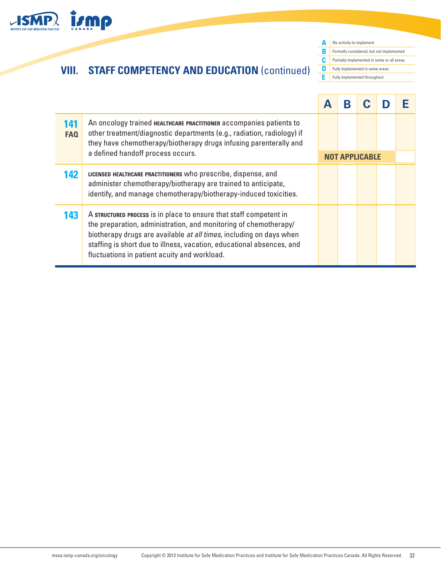

# **VIII. STAFF COMPETENCY AND EDUCATION** (continued)

**A** No activity to implement **B C D E** Formally considered, but not implemented Partially implemented in some or all areas Fully implemented in some areas Fully implemented throughout

|                        |                                                                                                                                                                                                                                                                                                                                        |                       | Β |  |  |
|------------------------|----------------------------------------------------------------------------------------------------------------------------------------------------------------------------------------------------------------------------------------------------------------------------------------------------------------------------------------|-----------------------|---|--|--|
| 141<br>FA <sub>0</sub> | An oncology trained HEALTHCARE PRACTITIONER accompanies patients to<br>other treatment/diagnostic departments (e.g., radiation, radiology) if<br>they have chemotherapy/biotherapy drugs infusing parenterally and                                                                                                                     |                       |   |  |  |
|                        | a defined handoff process occurs.                                                                                                                                                                                                                                                                                                      | <b>NOT APPLICABLE</b> |   |  |  |
| 142                    | LICENSED HEALTHCARE PRACTITIONERS Who prescribe, dispense, and<br>administer chemotherapy/biotherapy are trained to anticipate,<br>identify, and manage chemotherapy/biotherapy-induced toxicities.                                                                                                                                    |                       |   |  |  |
| 143                    | A STRUCTURED PROCESS is in place to ensure that staff competent in<br>the preparation, administration, and monitoring of chemotherapy/<br>biotherapy drugs are available at all times, including on days when<br>staffing is short due to illness, vacation, educational absences, and<br>fluctuations in patient acuity and workload. |                       |   |  |  |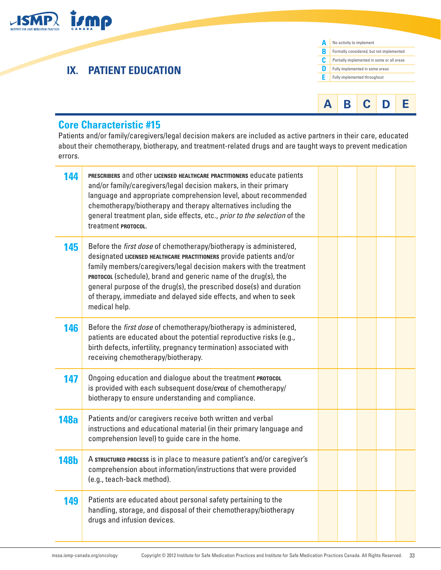

### **Core Characteristic #15**

Patients and/or family/caregivers/legal decision makers are included as active partners in their care, educated about their chemotherapy, biotherapy, and treatment-related drugs and are taught ways to prevent medication errors.

**A B C D E**

| 144         | PRESCRIBERS and other LICENSED HEALTHCARE PRACTITIONERS educate patients<br>and/or family/caregivers/legal decision makers, in their primary<br>language and appropriate comprehension level, about recommended<br>chemotherapy/biotherapy and therapy alternatives including the<br>general treatment plan, side effects, etc., prior to the selection of the<br>treatment <b>PROTOCOL.</b>                                                   |  |  |  |
|-------------|------------------------------------------------------------------------------------------------------------------------------------------------------------------------------------------------------------------------------------------------------------------------------------------------------------------------------------------------------------------------------------------------------------------------------------------------|--|--|--|
| 145         | Before the first dose of chemotherapy/biotherapy is administered,<br>designated LICENSED HEALTHCARE PRACTITIONERS provide patients and/or<br>family members/caregivers/legal decision makers with the treatment<br>PROTOCOL (schedule), brand and generic name of the drug(s), the<br>general purpose of the drug(s), the prescribed dose(s) and duration<br>of therapy, immediate and delayed side effects, and when to seek<br>medical help. |  |  |  |
| 146         | Before the first dose of chemotherapy/biotherapy is administered,<br>patients are educated about the potential reproductive risks (e.g.,<br>birth defects, infertility, pregnancy termination) associated with<br>receiving chemotherapy/biotherapy.                                                                                                                                                                                           |  |  |  |
| 147         | Ongoing education and dialogue about the treatment PROTOCOL<br>is provided with each subsequent dose/cvcLE of chemotherapy/<br>biotherapy to ensure understanding and compliance.                                                                                                                                                                                                                                                              |  |  |  |
| <b>148a</b> | Patients and/or caregivers receive both written and verbal<br>instructions and educational material (in their primary language and<br>comprehension level) to guide care in the home.                                                                                                                                                                                                                                                          |  |  |  |
| <b>148b</b> | A STRUCTURED PROCESS is in place to measure patient's and/or caregiver's<br>comprehension about information/instructions that were provided<br>(e.g., teach-back method).                                                                                                                                                                                                                                                                      |  |  |  |
| 149         | Patients are educated about personal safety pertaining to the<br>handling, storage, and disposal of their chemotherapy/biotherapy<br>drugs and infusion devices.                                                                                                                                                                                                                                                                               |  |  |  |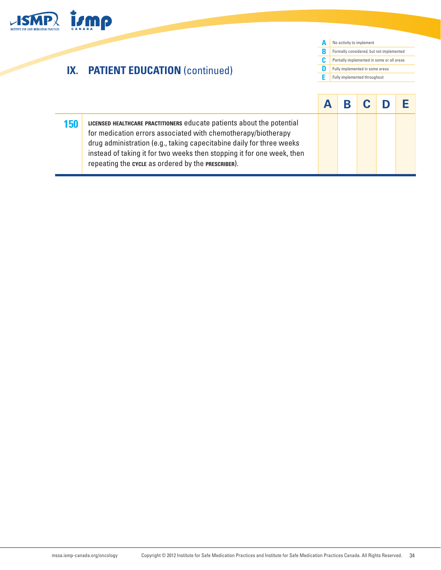

# **IX. PATIENT EDUCATION** (continued)



| 150 | LICENSED HEALTHCARE PRACTITIONERS educate patients about the potential<br>for medication errors associated with chemotherapy/biotherapy<br>drug administration (e.g., taking capecitabine daily for three weeks<br>instead of taking it for two weeks then stopping it for one week, then<br>repeating the cycle as ordered by the PRESCRIBER). |  |  |  |
|-----|-------------------------------------------------------------------------------------------------------------------------------------------------------------------------------------------------------------------------------------------------------------------------------------------------------------------------------------------------|--|--|--|

[mssa.ismp-canada.org/oncology](https://mssa.ismp-canada.org/oncology) Copyright © 2012 Institute for Safe Medication Practices and [Institute for Safe Medication Practices Canada](http://www.ismp-canada.org/). All Rights Reserved. 34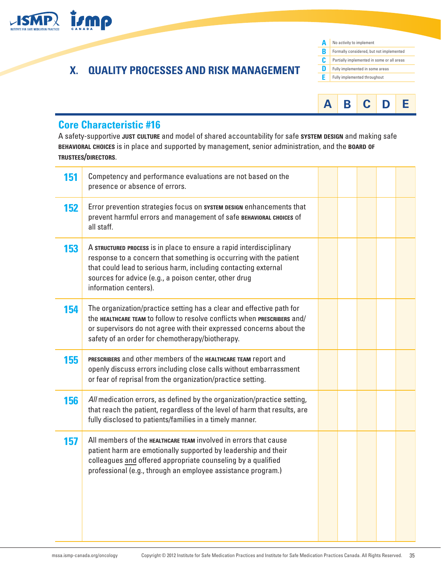

# **X. QUALITY PROCESSES AND RISK MANAGEMENT**

| Δ | No activity to implement                   |
|---|--------------------------------------------|
| R | Formally considered, but not implemented   |
| C | Partially implemented in some or all areas |
| n | Fully implemented in some areas            |
| F | Fully implemented throughout               |
|   |                                            |



### **Core Characteristic #16**

A safety-supportive **just culture** and model of shared accountability for safe **system design** and making safe **behavioral choices** is in place and supported by management, senior administration, and the **board of trustees/directors**.

| 151 | Competency and performance evaluations are not based on the<br>presence or absence of errors.                                                                                                                                                                                                  |  |  |  |
|-----|------------------------------------------------------------------------------------------------------------------------------------------------------------------------------------------------------------------------------------------------------------------------------------------------|--|--|--|
| 152 | Error prevention strategies focus on system DESIGN enhancements that<br>prevent harmful errors and management of safe BEHAVIORAL CHOICES of<br>all staff.                                                                                                                                      |  |  |  |
| 153 | A STRUCTURED PROCESS is in place to ensure a rapid interdisciplinary<br>response to a concern that something is occurring with the patient<br>that could lead to serious harm, including contacting external<br>sources for advice (e.g., a poison center, other drug<br>information centers). |  |  |  |
| 154 | The organization/practice setting has a clear and effective path for<br>the HEALTHCARE TEAM to follow to resolve conflicts when PRESCRIBERS and/<br>or supervisors do not agree with their expressed concerns about the<br>safety of an order for chemotherapy/biotherapy.                     |  |  |  |
| 155 | PRESCRIBERS and other members of the HEALTHCARE TEAM report and<br>openly discuss errors including close calls without embarrassment<br>or fear of reprisal from the organization/practice setting.                                                                                            |  |  |  |
| 156 | All medication errors, as defined by the organization/practice setting,<br>that reach the patient, regardless of the level of harm that results, are<br>fully disclosed to patients/families in a timely manner.                                                                               |  |  |  |
| 157 | All members of the <b>HEALTHCARE TEAM</b> involved in errors that cause<br>patient harm are emotionally supported by leadership and their<br>colleagues and offered appropriate counseling by a qualified<br>professional (e.g., through an employee assistance program.)                      |  |  |  |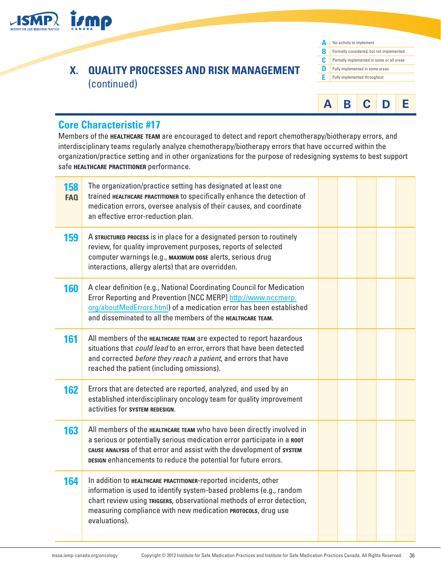

## **X. QUALITY PROCESSES AND RISK MANAGEMENT**  (continued)





### **Core Characteristic #17**

Members of the **healthcare team** are encouraged to detect and report chemotherapy/biotherapy errors, and interdisciplinary teams regularly analyze chemotherapy/biotherapy errors that have occurred within the organization/practice setting and in other organizations for the purpose of redesigning systems to best support safe **healthcare practitioner** performance.

| 158<br><b>FAQ</b> | The organization/practice setting has designated at least one<br>trained HEALTHCARE PRACTITIONER to specifically enhance the detection of<br>medication errors, oversee analysis of their causes, and coordinate<br>an effective error-reduction plan.                                             |  |  |  |
|-------------------|----------------------------------------------------------------------------------------------------------------------------------------------------------------------------------------------------------------------------------------------------------------------------------------------------|--|--|--|
| 159               | A STRUCTURED PROCESS is in place for a designated person to routinely<br>review, for quality improvement purposes, reports of selected<br>computer warnings (e.g., MAXIMUM DOSE alerts, serious drug<br>interactions, allergy alerts) that are overridden.                                         |  |  |  |
| 160               | A clear definition (e.g., National Coordinating Council for Medication<br>Error Reporting and Prevention [NCC MERP] http://www.nccmerp.<br>org/aboutMedErrors.html) of a medication error has been established<br>and disseminated to all the members of the HEALTHCARE TEAM.                      |  |  |  |
| 161               | All members of the HEALTHCARE TEAM are expected to report hazardous<br>situations that could lead to an error, errors that have been detected<br>and corrected before they reach a patient, and errors that have<br>reached the patient (including omissions).                                     |  |  |  |
| 162               | Errors that are detected are reported, analyzed, and used by an<br>established interdisciplinary oncology team for quality improvement<br>activities for system REDESIGN.                                                                                                                          |  |  |  |
| 163               | All members of the HEALTHCARE TEAM who have been directly involved in<br>a serious or potentially serious medication error participate in a ROOT<br>cause analysis of that error and assist with the development of system<br>DESIGN enhancements to reduce the potential for future errors.       |  |  |  |
| 164               | In addition to HEALTHCARE PRACTITIONER-reported incidents, other<br>information is used to identify system-based problems (e.g., random<br>chart review using TRIGGERS, observational methods of error detection,<br>measuring compliance with new medication PROTOCOLS, drug use<br>evaluations). |  |  |  |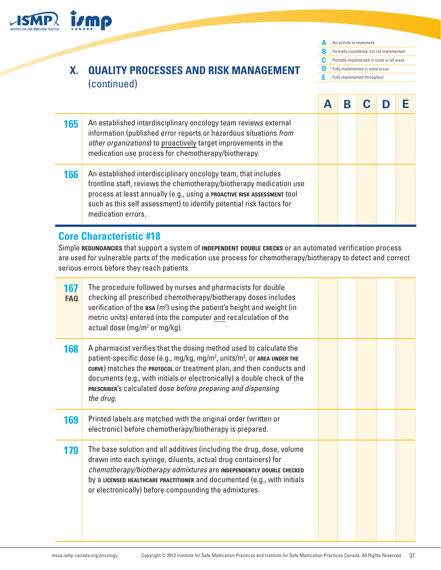

## **X. QUALITY PROCESSES AND RISK MANAGEMENT**  (continued)

**A B C D E** No activity to implement Formally considered, but not implemented Partially implemented in some or all areas Fully implemented in some areas Fully implemented throughout

| 165 | An established interdisciplinary oncology team reviews external<br>information (published error reports or hazardous situations from<br>other organizations) to proactively target improvements in the<br>medication use process for chemotherapy/biotherapy.                                                 |  |  |  |
|-----|---------------------------------------------------------------------------------------------------------------------------------------------------------------------------------------------------------------------------------------------------------------------------------------------------------------|--|--|--|
| 166 | An established interdisciplinary oncology team, that includes<br>frontline staff, reviews the chemotherapy/biotherapy medication use<br>process at least annually (e.g., using a PROACTIVE RISK ASSESSMENT tool<br>such as this self assessment) to identify potential risk factors for<br>medication errors. |  |  |  |

### **Core Characteristic #18**

Simple **redundancies** that support a system of **independent double checks** or an automated verification process are used for vulnerable parts of the medication use process for chemotherapy/biotherapy to detect and correct serious errors before they reach patients.

| 167<br>FAQ | The procedure followed by nurses and pharmacists for double<br>checking all prescribed chemotherapy/biotherapy doses includes<br>verification of the BSA (m <sup>2</sup> ) using the patient's height and weight (in<br>metric units) entered into the computer and recalculation of the<br>actual dose (mg/m <sup>2</sup> or mg/kg).                                                                  |  |  |  |
|------------|--------------------------------------------------------------------------------------------------------------------------------------------------------------------------------------------------------------------------------------------------------------------------------------------------------------------------------------------------------------------------------------------------------|--|--|--|
| 168        | A pharmacist verifies that the dosing method used to calculate the<br>patient-specific dose (e.g., mg/kg, mg/m <sup>2</sup> , units/m <sup>2</sup> , or AREA UNDER THE<br>curve) matches the PROTOCOL Or treatment plan, and then conducts and<br>documents (e.g., with initials or electronically) a double check of the<br>PRESCRIBER's calculated dose before preparing and dispensing<br>the drug. |  |  |  |
| 169        | Printed labels are matched with the original order (written or<br>electronic) before chemotherapy/biotherapy is prepared.                                                                                                                                                                                                                                                                              |  |  |  |
| 170        | The base solution and all additives (including the drug, dose, volume<br>drawn into each syringe, diluents, actual drug containers) for<br>chemotherapy/biotherapy admixtures are INDEPENDENTLY DOUBLE CHECKED<br>by a LICENSED HEALTHCARE PRACTITIONER and documented (e.g., with initials<br>or electronically) before compounding the admixtures.                                                   |  |  |  |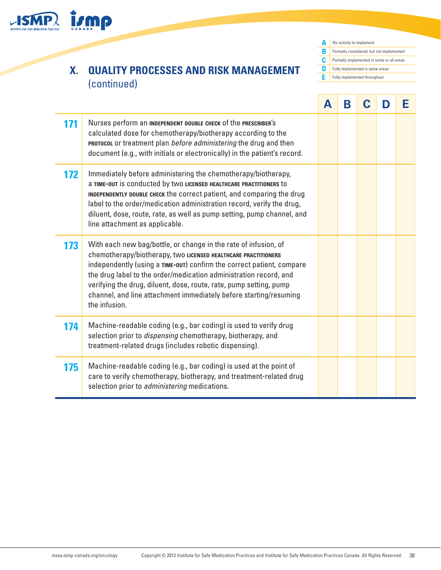

## **X. QUALITY PROCESSES AND RISK MANAGEMENT**  (continued)

**A B C D E** No activity to implement Formally considered, but not implemented Partially implemented in some or all areas Fully implemented in some areas Fully implemented throughout

|     |                                                                                                                                                                                                                                                                                                                                                                                                                                             | A | Β | D | Е |
|-----|---------------------------------------------------------------------------------------------------------------------------------------------------------------------------------------------------------------------------------------------------------------------------------------------------------------------------------------------------------------------------------------------------------------------------------------------|---|---|---|---|
| 171 | Nurses perform an INDEPENDENT DOUBLE CHECK of the PRESCRIBER'S<br>calculated dose for chemotherapy/biotherapy according to the<br>PROTOCOL Or treatment plan before administering the drug and then<br>document (e.g., with initials or electronically) in the patient's record.                                                                                                                                                            |   |   |   |   |
| 172 | Immediately before administering the chemotherapy/biotherapy,<br>a TIME-OUT is conducted by two LICENSED HEALTHCARE PRACTITIONERS to<br>INDEPENDENTLY DOUBLE CHECK the correct patient, and comparing the drug<br>label to the order/medication administration record, verify the drug,<br>diluent, dose, route, rate, as well as pump setting, pump channel, and<br>line attachment as applicable.                                         |   |   |   |   |
| 173 | With each new bag/bottle, or change in the rate of infusion, of<br>chemotherapy/biotherapy, two LICENSED HEALTHCARE PRACTITIONERS<br>independently (using a TIME-OUT) confirm the correct patient, compare<br>the drug label to the order/medication administration record, and<br>verifying the drug, diluent, dose, route, rate, pump setting, pump<br>channel, and line attachment immediately before starting/resuming<br>the infusion. |   |   |   |   |
| 174 | Machine-readable coding (e.g., bar coding) is used to verify drug<br>selection prior to <i>dispensing</i> chemotherapy, biotherapy, and<br>treatment-related drugs (includes robotic dispensing).                                                                                                                                                                                                                                           |   |   |   |   |
| 175 | Machine-readable coding (e.g., bar coding) is used at the point of<br>care to verify chemotherapy, biotherapy, and treatment-related drug<br>selection prior to <i>administering</i> medications.                                                                                                                                                                                                                                           |   |   |   |   |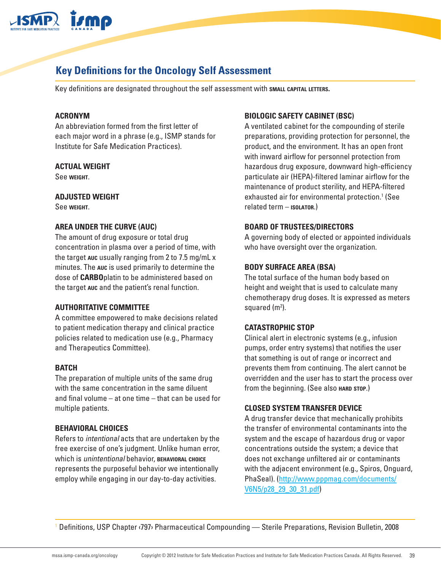

## **Key Definitions for the Oncology Self Assessment**

Key definitions are designated throughout the self assessment with **small capital letters.**

#### **ACRONYM**

An abbreviation formed from the first letter of each major word in a phrase (e.g., ISMP stands for Institute for Safe Medication Practices).

#### **ACTUAL WEIGHT**

See **weight**.

#### **ADJUSTED WEIGHT**

See **weight**.

#### **AREA UNDER THE CURVE (AUC)**

The amount of drug exposure or total drug concentration in plasma over a period of time, with the target **auc** usually ranging from 2 to 7.5 mg/mL x minutes. The **auc** is used primarily to determine the dose of **CARBO**platin to be administered based on the target **auc** and the patient's renal function.

#### **AUTHORITATIVE COMMITTEE**

A committee empowered to make decisions related to patient medication therapy and clinical practice policies related to medication use (e.g., Pharmacy and Therapeutics Committee).

#### **BATCH**

The preparation of multiple units of the same drug with the same concentration in the same diluent and final volume – at one time – that can be used for multiple patients.

#### **BEHAVIORAL CHOICES**

Refers to *intentional* acts that are undertaken by the free exercise of one's judgment. Unlike human error, which is *unintentional* behavior, **behavioral choice** represents the purposeful behavior we intentionally employ while engaging in our day-to-day activities.

#### **BIOLOGIC SAFETY CABINET (BSC)**

A ventilated cabinet for the compounding of sterile preparations, providing protection for personnel, the product, and the environment. It has an open front with inward airflow for personnel protection from hazardous drug exposure, downward high-efficiency particulate air (HEPA)-filtered laminar airflow for the maintenance of product sterility, and HEPA-filtered exhausted air for environmental protection.<sup>1</sup> (See related term – **isolator**.)

#### **BOARD OF TRUSTEES/DIRECTORS**

A governing body of elected or appointed individuals who have oversight over the organization.

#### **BODY SURFACE AREA (BSA)**

The total surface of the human body based on height and weight that is used to calculate many chemotherapy drug doses. It is expressed as meters squared (m<sup>2</sup>).

#### **CATASTROPHIC STOP**

Clinical alert in electronic systems (e.g., infusion pumps, order entry systems) that notifies the user that something is out of range or incorrect and prevents them from continuing. The alert cannot be overridden and the user has to start the process over from the beginning. (See also **HARD** STOP.)

#### **CLOSED SYSTEM TRANSFER DEVICE**

A drug transfer device that mechanically prohibits the transfer of environmental contaminants into the system and the escape of hazardous drug or vapor concentrations outside the system; a device that does not exchange unfiltered air or contaminants with the adjacent environment (e.g., Spiros, Onguard, PhaSeal). [\(http://www.pppmag.com/documents/](http://www.pppmag.com/documents/V6N5/p28_29_30_31.pdf) [V6N5/p28\\_29\\_30\\_31.pdf\)](http://www.pppmag.com/documents/V6N5/p28_29_30_31.pdf)

1 Definitions, USP Chapter ‹797› Pharmaceutical Compounding — Sterile Preparations, Revision Bulletin, 2008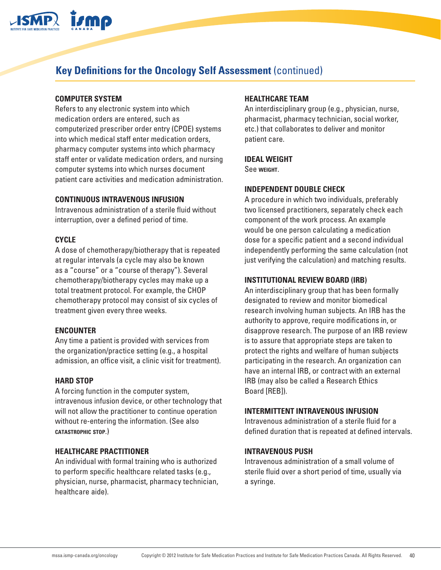

## **Key Definitions for the Oncology Self Assessment** (continued)

#### **COMPUTER SYSTEM**

Refers to any electronic system into which medication orders are entered, such as computerized prescriber order entry (CPOE) systems into which medical staff enter medication orders, pharmacy computer systems into which pharmacy staff enter or validate medication orders, and nursing computer systems into which nurses document patient care activities and medication administration.

#### **CONTINUOUS INTRAVENOUS INFUSION**

Intravenous administration of a sterile fluid without interruption, over a defined period of time.

#### **CYCLE**

A dose of chemotherapy/biotherapy that is repeated at regular intervals (a cycle may also be known as a "course" or a "course of therapy"). Several chemotherapy/biotherapy cycles may make up a total treatment protocol. For example, the CHOP chemotherapy protocol may consist of six cycles of treatment given every three weeks.

#### **ENCOUNTER**

Any time a patient is provided with services from the organization/practice setting (e.g., a hospital admission, an office visit, a clinic visit for treatment).

#### **HARD STOP**

A forcing function in the computer system, intravenous infusion device, or other technology that will not allow the practitioner to continue operation without re-entering the information. (See also **catastrophic stop**.)

#### **HEALTHCARE PRACTITIONER**

An individual with formal training who is authorized to perform specific healthcare related tasks (e.g., physician, nurse, pharmacist, pharmacy technician, healthcare aide).

#### **HEALTHCARE TEAM**

An interdisciplinary group (e.g., physician, nurse, pharmacist, pharmacy technician, social worker, etc.) that collaborates to deliver and monitor patient care.

#### **IDEAL WEIGHT**

See **weight**.

#### **INDEPENDENT DOUBLE CHECK**

A procedure in which two individuals, preferably two licensed practitioners, separately check each component of the work process. An example would be one person calculating a medication dose for a specific patient and a second individual independently performing the same calculation (not just verifying the calculation) and matching results.

#### **INSTITUTIONAL REVIEW BOARD (IRB)**

An interdisciplinary group that has been formally designated to review and monitor biomedical research involving human subjects. An IRB has the authority to approve, require modifications in, or disapprove research. The purpose of an IRB review is to assure that appropriate steps are taken to protect the rights and welfare of human subjects participating in the research. An organization can have an internal IRB, or contract with an external IRB (may also be called a Research Ethics Board [REB]).

#### **INTERMITTENT INTRAVENOUS INFUSION**

Intravenous administration of a sterile fluid for a defined duration that is repeated at defined intervals.

#### **INTRAVENOUS PUSH**

Intravenous administration of a small volume of sterile fluid over a short period of time, usually via a syringe.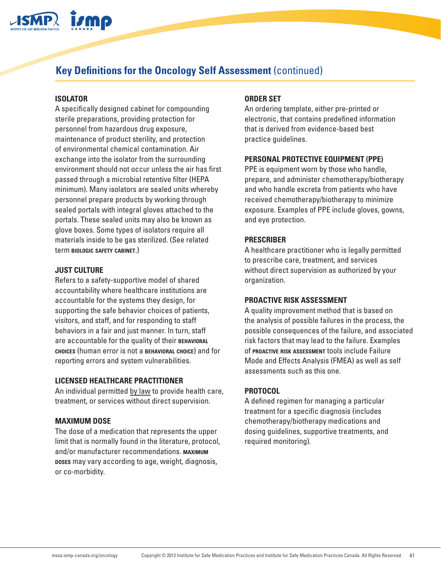

## **Key Definitions for the Oncology Self Assessment** (continued)

#### **ISOLATOR**

A specifically designed cabinet for compounding sterile preparations, providing protection for personnel from hazardous drug exposure, maintenance of product sterility, and protection of environmental chemical contamination. Air exchange into the isolator from the surrounding environment should not occur unless the air has first passed through a microbial retentive filter (HEPA minimum). Many isolators are sealed units whereby personnel prepare products by working through sealed portals with integral gloves attached to the portals. These sealed units may also be known as glove boxes. Some types of isolators require all materials inside to be gas sterilized. (See related term **biologic safety cabinet**.)

#### **JUST CULTURE**

Refers to a safety-supportive model of shared accountability where healthcare institutions are accountable for the systems they design, for supporting the safe behavior choices of patients, visitors, and staff, and for responding to staff behaviors in a fair and just manner. In turn, staff are accountable for the quality of their **behavioral choices** (human error is not a **behavioral choice**) and for reporting errors and system vulnerabilities.

#### **LICENSED HEALTHCARE PRACTITIONER**

An individual permitted by law to provide health care, treatment, or services without direct supervision.

#### **MAXIMUM DOSE**

The dose of a medication that represents the upper limit that is normally found in the literature, protocol, and/or manufacturer recommendations. **maximum doses** may vary according to age, weight, diagnosis, or co-morbidity.

#### **ORDER SET**

An ordering template, either pre-printed or electronic, that contains predefined information that is derived from evidence-based best practice guidelines.

#### **PERSONAL PROTECTIVE EQUIPMENT (PPE)**

PPE is equipment worn by those who handle, prepare, and administer chemotherapy/biotherapy and who handle excreta from patients who have received chemotherapy/biotherapy to minimize exposure. Examples of PPE include gloves, gowns, and eye protection.

#### **PRESCRIBER**

A healthcare practitioner who is legally permitted to prescribe care, treatment, and services without direct supervision as authorized by your organization.

#### **PROACTIVE RISK ASSESSMENT**

A quality improvement method that is based on the analysis of possible failures in the process, the possible consequences of the failure, and associated risk factors that may lead to the failure. Examples of **proactive risk assessment** tools include Failure Mode and Effects Analysis (FMEA) as well as self assessments such as this one.

#### **PROTOCOL**

A defined regimen for managing a particular treatment for a specific diagnosis (includes chemotherapy/biotherapy medications and dosing guidelines, supportive treatments, and required monitoring).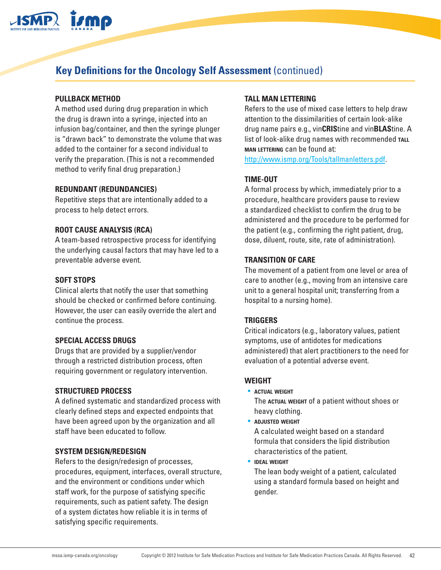

#### **PULLBACK METHOD**

A method used during drug preparation in which the drug is drawn into a syringe, injected into an infusion bag/container, and then the syringe plunger is "drawn back" to demonstrate the volume that was added to the container for a second individual to verify the preparation. (This is not a recommended method to verify final drug preparation.)

#### **REDUNDANT (REDUNDANCIES)**

Repetitive steps that are intentionally added to a process to help detect errors.

#### **ROOT CAUSE ANALYSIS (RCA)**

A team-based retrospective process for identifying the underlying causal factors that may have led to a preventable adverse event.

#### **SOFT STOPS**

Clinical alerts that notify the user that something should be checked or confirmed before continuing. However, the user can easily override the alert and continue the process.

#### **SPECIAL ACCESS DRUGS**

Drugs that are provided by a supplier/vendor through a restricted distribution process, often requiring government or regulatory intervention.

#### **STRUCTURED PROCESS**

A defined systematic and standardized process with clearly defined steps and expected endpoints that have been agreed upon by the organization and all staff have been educated to follow.

#### **SYSTEM DESIGN/REDESIGN**

Refers to the design/redesign of processes, procedures, equipment, interfaces, overall structure, and the environment or conditions under which staff work, for the purpose of satisfying specific requirements, such as patient safety. The design of a system dictates how reliable it is in terms of satisfying specific requirements.

#### **TALL MAN LETTERING**

Refers to the use of mixed case letters to help draw attention to the dissimilarities of certain look-alike drug name pairs e.g., vin**CRIS**tine and vin**BLAS**tine. A list of look-alike drug names with recommended TALL **man lettering** can be found at:

<http://www.ismp.org/Tools/tallmanletters.pdf>.

#### **TIME-OUT**

A formal process by which, immediately prior to a procedure, healthcare providers pause to review a standardized checklist to confirm the drug to be administered and the procedure to be performed for the patient (e.g., confirming the right patient, drug, dose, diluent, route, site, rate of administration).

#### **TRANSITION OF CARE**

The movement of a patient from one level or area of care to another (e.g., moving from an intensive care unit to a general hospital unit; transferring from a hospital to a nursing home).

#### **TRIGGERS**

Critical indicators (e.g., laboratory values, patient symptoms, use of antidotes for medications administered) that alert practitioners to the need for evaluation of a potential adverse event.

#### **WEIGHT**

• **actual weight** The **actual weight** of a patient without shoes or heavy clothing.

• **adjusted weight**

A calculated weight based on a standard formula that considers the lipid distribution characteristics of the patient.

• **ideal weight**

The lean body weight of a patient, calculated using a standard formula based on height and gender.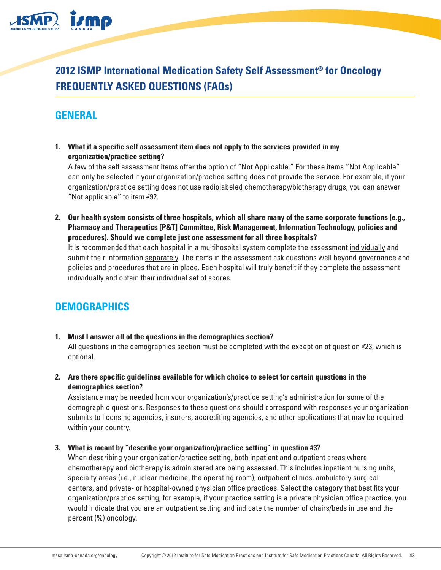

**2012 ISMP International Medication Safety Self Assessment® for Oncology FREQUENTLY ASKED QUESTIONS (FAQs)**

## **GENERAL**

**1. What if a specific self assessment item does not apply to the services provided in my organization/practice setting?**

A few of the self assessment items offer the option of "Not Applicable." For these items "Not Applicable" can only be selected if your organization/practice setting does not provide the service. For example, if your organization/practice setting does not use radiolabeled chemotherapy/biotherapy drugs, you can answer "Not applicable" to item #92.

**2. Our health system consists of three hospitals, which all share many of the same corporate functions (e.g., Pharmacy and Therapeutics [P&T] Committee, Risk Management, Information Technology, policies and procedures). Should we complete just one assessment for all three hospitals?**

It is recommended that each hospital in a multihospital system complete the assessment individually and submit their information separately. The items in the assessment ask questions well beyond governance and policies and procedures that are in place. Each hospital will truly benefit if they complete the assessment individually and obtain their individual set of scores.

### **DEMOGRAPHICS**

- **1. Must I answer all of the questions in the demographics section?** All questions in the demographics section must be completed with the exception of question #23, which is optional.
- **2. Are there specific guidelines available for which choice to select for certain questions in the demographics section?**

Assistance may be needed from your organization's/practice setting's administration for some of the demographic questions. Responses to these questions should correspond with responses your organization submits to licensing agencies, insurers, accrediting agencies, and other applications that may be required within your country.

#### **3. What is meant by "describe your organization/practice setting" in question #3?**

When describing your organization/practice setting, both inpatient and outpatient areas where chemotherapy and biotherapy is administered are being assessed. This includes inpatient nursing units, specialty areas (i.e., nuclear medicine, the operating room), outpatient clinics, ambulatory surgical centers, and private- or hospital-owned physician office practices. Select the category that best fits your organization/practice setting; for example, if your practice setting is a private physician office practice, you would indicate that you are an outpatient setting and indicate the number of chairs/beds in use and the percent (%) oncology.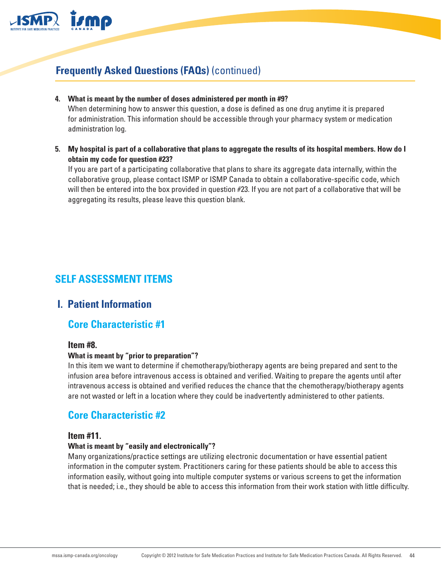

**4. What is meant by the number of doses administered per month in #9?**

When determining how to answer this question, a dose is defined as one drug anytime it is prepared for administration. This information should be accessible through your pharmacy system or medication administration log.

**5. My hospital is part of a collaborative that plans to aggregate the results of its hospital members. How do I obtain my code for question #23?**

If you are part of a participating collaborative that plans to share its aggregate data internally, within the collaborative group, please contact ISMP or ISMP Canada to obtain a collaborative-specific code, which will then be entered into the box provided in question #23. If you are not part of a collaborative that will be aggregating its results, please leave this question blank.

## **SELF ASSESSMENT ITEMS**

### **I. Patient Information**

### **Core Characteristic #1**

#### **Item #8.**

#### **What is meant by "prior to preparation"?**

In this item we want to determine if chemotherapy/biotherapy agents are being prepared and sent to the infusion area before intravenous access is obtained and verified. Waiting to prepare the agents until after intravenous access is obtained and verified reduces the chance that the chemotherapy/biotherapy agents are not wasted or left in a location where they could be inadvertently administered to other patients.

### **Core Characteristic #2**

#### **Item #11.**

#### **What is meant by "easily and electronically"?**

Many organizations/practice settings are utilizing electronic documentation or have essential patient information in the computer system. Practitioners caring for these patients should be able to access this information easily, without going into multiple computer systems or various screens to get the information that is needed; i.e., they should be able to access this information from their work station with little difficulty.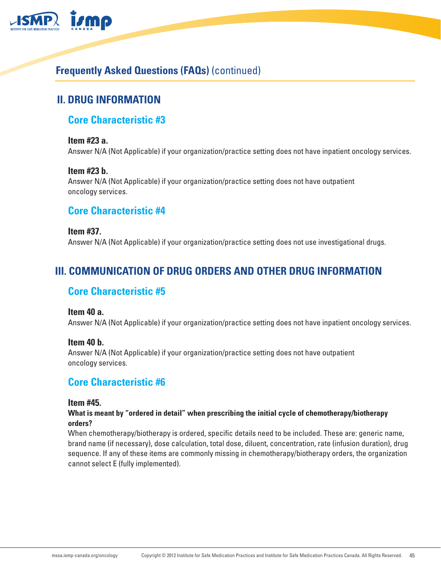

## **II. DRUG INFORMATION**

### **Core Characteristic #3**

#### **Item #23 a.**

Answer N/A (Not Applicable) if your organization/practice setting does not have inpatient oncology services.

#### **Item #23 b.**

Answer N/A (Not Applicable) if your organization/practice setting does not have outpatient oncology services.

### **Core Characteristic #4**

**Item #37.** Answer N/A (Not Applicable) if your organization/practice setting does not use investigational drugs.

## **III. COMMUNICATION OF DRUG ORDERS AND OTHER DRUG INFORMATION**

### **Core Characteristic #5**

#### **Item 40 a.**

Answer N/A (Not Applicable) if your organization/practice setting does not have inpatient oncology services.

#### **Item 40 b.**

Answer N/A (Not Applicable) if your organization/practice setting does not have outpatient oncology services.

### **Core Characteristic #6**

#### **Item #45.**

#### **What is meant by "ordered in detail" when prescribing the initial cycle of chemotherapy/biotherapy orders?**

When chemotherapy/biotherapy is ordered, specific details need to be included. These are: generic name, brand name (if necessary), dose calculation, total dose, diluent, concentration, rate (infusion duration), drug sequence. If any of these items are commonly missing in chemotherapy/biotherapy orders, the organization cannot select E (fully implemented).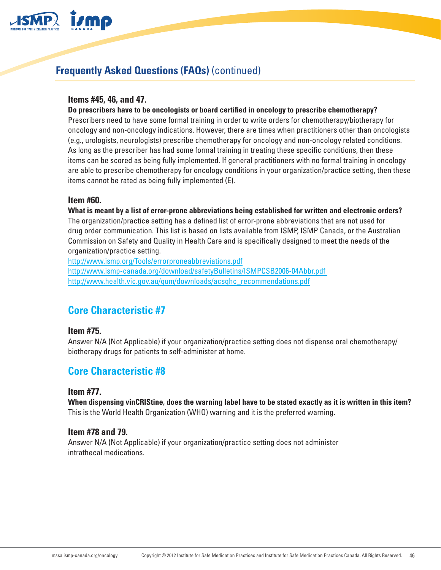

#### **Items #45, 46, and 47.**

#### **Do prescribers have to be oncologists or board certified in oncology to prescribe chemotherapy?**

Prescribers need to have some formal training in order to write orders for chemotherapy/biotherapy for oncology and non-oncology indications. However, there are times when practitioners other than oncologists (e.g., urologists, neurologists) prescribe chemotherapy for oncology and non-oncology related conditions. As long as the prescriber has had some formal training in treating these specific conditions, then these items can be scored as being fully implemented. If general practitioners with no formal training in oncology are able to prescribe chemotherapy for oncology conditions in your organization/practice setting, then these items cannot be rated as being fully implemented (E).

#### **Item #60.**

**What is meant by a list of error-prone abbreviations being established for written and electronic orders?** The organization/practice setting has a defined list of error-prone abbreviations that are not used for drug order communication. This list is based on lists available from ISMP, ISMP Canada, or the Australian Commission on Safety and Quality in Health Care and is specifically designed to meet the needs of the organization/practice setting.

<http://www.ismp.org/Tools/errorproneabbreviations.pdf> [http://www.ismp-canada.org/download/safetyBulletins/ISMPCSB2006-04Abbr.pdf](http://www.ismp-canada.org/download/safetyBulletins/ISMPCSB2006-04Abbr.pdf )  [http://www.health.vic.gov.au/qum/downloads/acsqhc\\_recommendations.pdf](http://www.health.vic.gov.au/qum/downloads/acsqhc_recommendations.pdf)

### **Core Characteristic #7**

#### **Item #75.**

Answer N/A (Not Applicable) if your organization/practice setting does not dispense oral chemotherapy/ biotherapy drugs for patients to self-administer at home.

### **Core Characteristic #8**

#### **Item #77.**

**When dispensing vinCRIStine, does the warning label have to be stated exactly as it is written in this item?** This is the World Health Organization (WHO) warning and it is the preferred warning.

#### **Item #78 and 79.**

Answer N/A (Not Applicable) if your organization/practice setting does not administer intrathecal medications.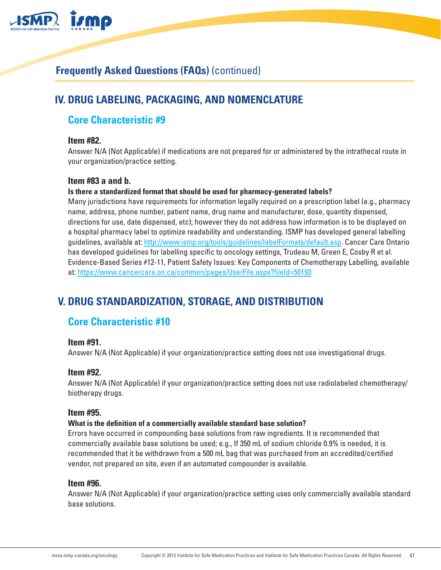

## **IV. DRUG LABELING, PACKAGING, AND NOMENCLATURE**

### **Core Characteristic #9**

#### **Item #82.**

Answer N/A (Not Applicable) if medications are not prepared for or administered by the intrathecal route in your organization/practice setting.

#### **Item #83 a and b.**

#### **Is there a standardized format that should be used for pharmacy-generated labels?**

Many jurisdictions have requirements for information legally required on a prescription label (e.g., pharmacy name, address, phone number, patient name, drug name and manufacturer, dose, quantity dispensed, directions for use, date dispensed, etc); however they do not address how information is to be displayed on a hospital pharmacy label to optimize readability and understanding. ISMP has developed general labelling guidelines, available at:<http://www.ismp.org/tools/guidelines/labelFormats/default.asp>. Cancer Care Ontario has developed guidelines for labelling specific to oncology settings, Trudeau M, Green E, Cosby R et al. Evidence-Based Series #12-11, Patient Safety Issues: Key Components of Chemotherapy Labelling, available at: <https://www.cancercare.on.ca/common/pages/UserFile.aspx?fileId=50193>

## **V. DRUG STANDARDIZATION, STORAGE, AND DISTRIBUTION**

### **Core Characteristic #10**

#### **Item #91.**

Answer N/A (Not Applicable) if your organization/practice setting does not use investigational drugs.

#### **Item #92.**

Answer N/A (Not Applicable) if your organization/practice setting does not use radiolabeled chemotherapy/ biotherapy drugs.

#### **Item #95.**

#### **What is the definition of a commercially available standard base solution?**

Errors have occurred in compounding base solutions from raw ingredients. It is recommended that commercially available base solutions be used; e.g., If 350 mL of sodium chloride 0.9% is needed, it is recommended that it be withdrawn from a 500 mL bag that was purchased from an accredited/certified vendor, not prepared on site, even if an automated compounder is available.

#### **Item #96.**

Answer N/A (Not Applicable) if your organization/practice setting uses only commercially available standard base solutions.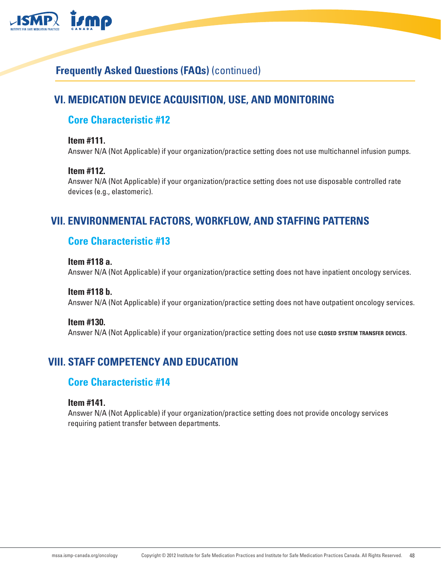

## **VI. MEDICATION DEVICE ACQUISITION, USE, AND MONITORING**

### **Core Characteristic #12**

#### **Item #111.**

Answer N/A (Not Applicable) if your organization/practice setting does not use multichannel infusion pumps.

#### **Item #112.**

Answer N/A (Not Applicable) if your organization/practice setting does not use disposable controlled rate devices (e.g., elastomeric).

## **VII. ENVIRONMENTAL FACTORS, WORKFLOW, AND STAFFING PATTERNS**

### **Core Characteristic #13**

#### **Item #118 a.**

Answer N/A (Not Applicable) if your organization/practice setting does not have inpatient oncology services.

### **Item #118 b.**

Answer N/A (Not Applicable) if your organization/practice setting does not have outpatient oncology services.

#### **Item #130.**

Answer N/A (Not Applicable) if your organization/practice setting does not use **closed system transfer devices**.

## **VIII. STAFF COMPETENCY AND EDUCATION**

### **Core Characteristic #14**

#### **Item #141.**

Answer N/A (Not Applicable) if your organization/practice setting does not provide oncology services requiring patient transfer between departments.